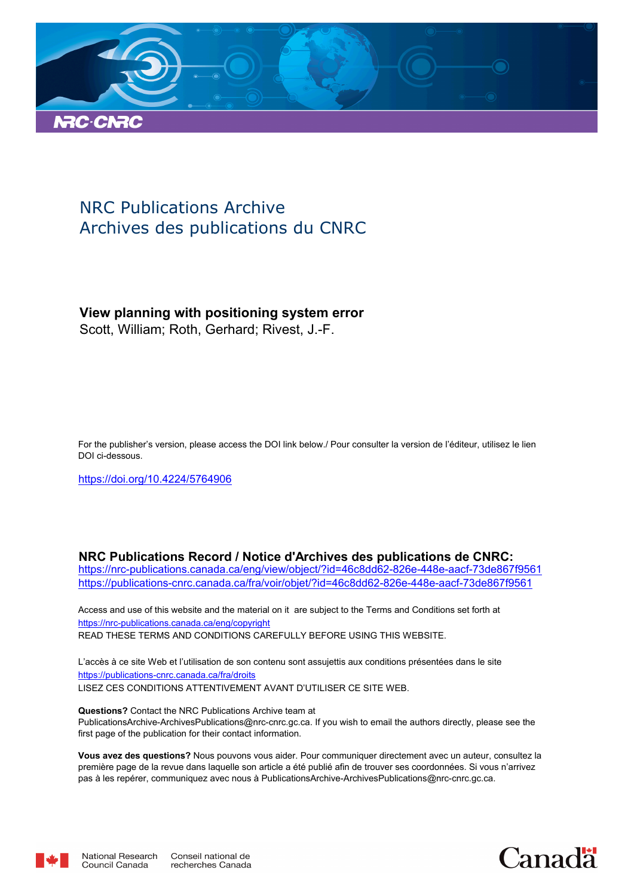

# NRC Publications Archive Archives des publications du CNRC

# **View planning with positioning system error**

Scott, William; Roth, Gerhard; Rivest, J.-F.

For the publisher's version, please access the DOI link below./ Pour consulter la version de l'éditeur, utilisez le lien DOI ci-dessous.

https://doi.org/10.4224/5764906

**NRC Publications Record / Notice d'Archives des publications de CNRC:** https://nrc-publications.canada.ca/eng/view/object/?id=46c8dd62-826e-448e-aacf-73de867f9561 https://publications-cnrc.canada.ca/fra/voir/objet/?id=46c8dd62-826e-448e-aacf-73de867f9561

READ THESE TERMS AND CONDITIONS CAREFULLY BEFORE USING THIS WEBSITE. https://nrc-publications.canada.ca/eng/copyright Access and use of this website and the material on it are subject to the Terms and Conditions set forth at

https://publications-cnrc.canada.ca/fra/droits L'accès à ce site Web et l'utilisation de son contenu sont assujettis aux conditions présentées dans le site LISEZ CES CONDITIONS ATTENTIVEMENT AVANT D'UTILISER CE SITE WEB.

**Questions?** Contact the NRC Publications Archive team at PublicationsArchive-ArchivesPublications@nrc-cnrc.gc.ca. If you wish to email the authors directly, please see the first page of the publication for their contact information.

**Vous avez des questions?** Nous pouvons vous aider. Pour communiquer directement avec un auteur, consultez la première page de la revue dans laquelle son article a été publié afin de trouver ses coordonnées. Si vous n'arrivez pas à les repérer, communiquez avec nous à PublicationsArchive-ArchivesPublications@nrc-cnrc.gc.ca.



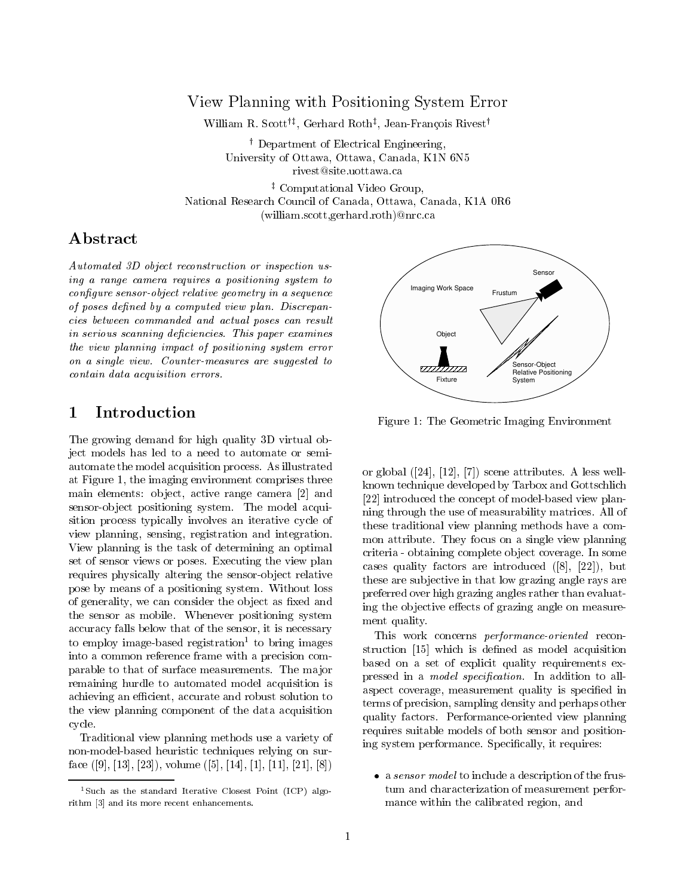## View Planning with Positioning System Error

William R. Scottyz , Gerhard Rothz , Jean-Francois Rivest<sup>y</sup>

<sup>y</sup> Department of Electrical Engineering, University of Ottawa, Ottawa, Canada, K1N 6N5 rivest@site.uottawa.ca

<sup>z</sup> Computational Video Group, National Research Council of Canada, Ottawa, Canada, K1A 0R6 (william.scott,gerhard.roth)@nrc.ca

# Abstract

Automated 3D object reconstruction or inspection using a range camera requires a positioning system to configure sensor-object relative geometry in a sequence of poses defined by a computed view plan. Discrepancies between commanded and actual poses can result in serious scanning deficiencies. This paper examines the view planning impact of positioning system error on a single view. Counter-measures are suggested to contain data acquisition errors.

### $\mathbf{1}$ Introduction

The growing demand for high quality 3D virtual object models has led to a need to automate or semiautomate the model acquisition process. As illustrated at Figure 1, the imaging environment comprises three main elements: object, active range camera [2] and sensor-ob ject positioning system. The model acquisition process typically involves an iterative cycle of view planning, sensing, registration and integration. View planning is the task of determining an optimal set of sensor views or poses. Executing the view plan requires physically altering the sensor-ob ject relative pose by means of a positioning system. Without loss of generality, we can consider the object as fixed and the sensor as mobile. Whenever positioning system accuracy falls below that of the sensor, it is necessary to employ image-based registration<sup>-</sup> to bring images into a common reference frame with a precision comparable to that of surface measurements. The ma jor remaining hurdle to automated model acquisition is achieving an efficient, accurate and robust solution to the view planning component of the data acquisition cycle.

Traditional view planning methods use a variety of non-model-based heuristic techniques relying on surface ([9], [13], [23]), volume ([5], [14], [1], [11], [21], [8])



Figure 1: The Geometric Imaging Environment

or global ([24], [12], [7]) scene attributes. A less wellknown technique developed by Tarbox and Gottschlich [22] introduced the concept of model-based view planning through the use of measurability matrices. All of these traditional view planning methods have a common attribute. They focus on a single view planning criteria - obtaining complete ob ject coverage. In some cases quality factors are introduced ([8], [22]), but these are sub jective in that low grazing angle rays are preferred over high grazing angles rather than evaluating the objective effects of grazing angle on measurement quality.

This work concerns performance-oriented reconstruction [15] which is defined as model acquisition based on a set of explicit quality requirements expressed in a *model specification*. In addition to allaspect coverage, measurement quality is specied in terms of precision, sampling density and perhaps other quality factors. Performance-oriented view planning requires suitable models of both sensor and positioning system performance. Specically, it requires:

• a *sensor model* to include a description of the frustum and characterization of measurement performance within the calibrated region, and

<sup>1</sup> Such as the standard Iterative Closest Point (ICP) algorithment [3] was a low more recent water which even when  $\sim$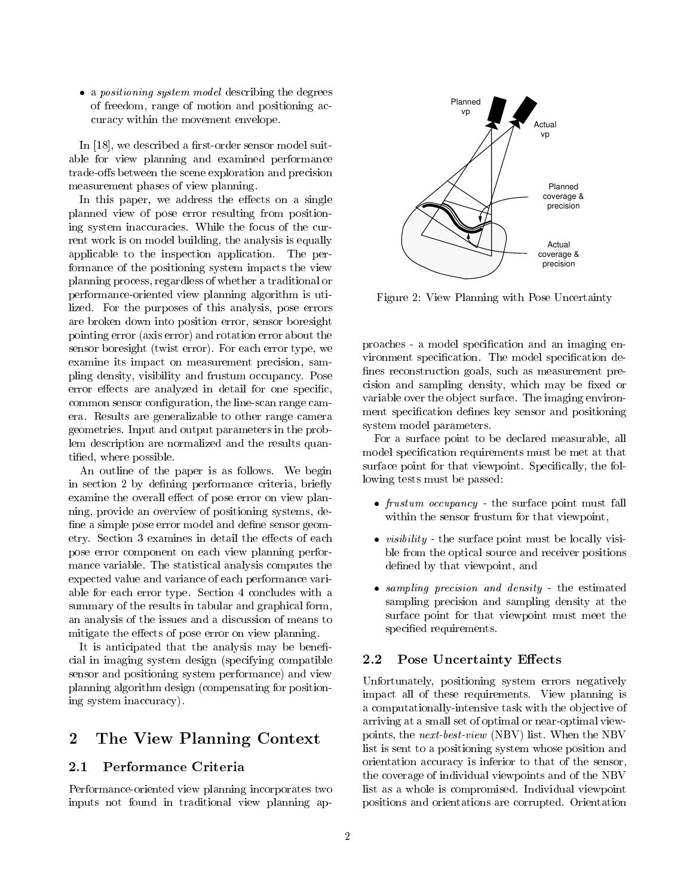• a *positioning system model* describing the degrees of freedom, range of motion and positioning accuracy within the movement envelope.

In [18], we described a first-order sensor model suitable for view planning and examined performance trade-offs between the scene exploration and precision measurement phases of view planning.

In this paper, we address the effects on a single planned view of pose error resulting from positioning system inaccuracies. While the focus of the current work is on model building, the analysis is equally applicable to the inspection application. The performance of the positioning system impacts the view planning process, regardless of whether a traditional or performance-oriented view planning algorithm is utilized. For the purposes of this analysis, pose errors are broken down into position error, sensor boresight pointing error (axis error) and rotation error about the sensor boresight (twist error). For each error type, we examine its impact on measurement precision, sampling density, visibility and frustum occupancy. Pose error effects are analyzed in detail for one specific, common sensor configuration, the line-scan range camera. Results are generalizable to other range camera geometries. Input and output parameters in the problem description are normalized and the results quantied, where possible.

An outline of the paper is as follows. We begin in section 2 by defining performance criteria, briefly examine the overall effect of pose error on view planning, provide an overview of positioning systems, de fine a simple pose error model and define sensor geometry. Section 3 examines in detail the effects of each pose error component on each view planning performance variable. The statistical analysis computes the expected value and variance of each performance variable for each error type. Section 4 concludes with a summary of the results in tabular and graphical form, an analysis of the issues and a discussion of means to mitigate the effects of pose error on view planning.

It is anticipated that the analysis may be beneficial in imaging system design (specifying compatible sensor and positioning system performance) and view planning algorithm design (compensating for positioning system inaccuracy).

### 2The View Planning Context

Performance-oriented view planning incorporates two inputs not found in traditional view planning ap-



Figure 2: View Planning with Pose Uncertainty

proaches - a model specication and an imaging environment specification. The model specification defines reconstruction goals, such as measurement precision and sampling density, which may be fixed or variable over the object surface. The imaging environment specification defines key sensor and positioning system model parameters.

For a surface point to be declared measurable, all model specification requirements must be met at that surface point for that viewpoint. Specifically, the following tests must be passed:

- $\bullet$  frustum occupancy the surface point must fall within the sensor frustum for that viewpoint,
- $\bullet$  visibility the surface point must be locally visible from the optical source and receiver positions defined by that viewpoint, and
- sampling precision and density the estimated sampling precision and sampling density at the surface point for that viewpoint must meet the specified requirements.

### $2.2$ Pose Uncertainty Effects

Unfortunately, positioning system errors negatively impact all of these requirements. View planning is a computationally-intensive task with the objective of arriving at a small set of optimal or near-optimal viewpoints, the next-best-view (NBV) list. When the NBV list is sent to a positioning system whose position and orientation accuracy is inferior to that of the sensor, the coverage of individual viewpoints and of the NBV list as a whole is compromised. Individual viewpoint positions and orientations are corrupted. Orientation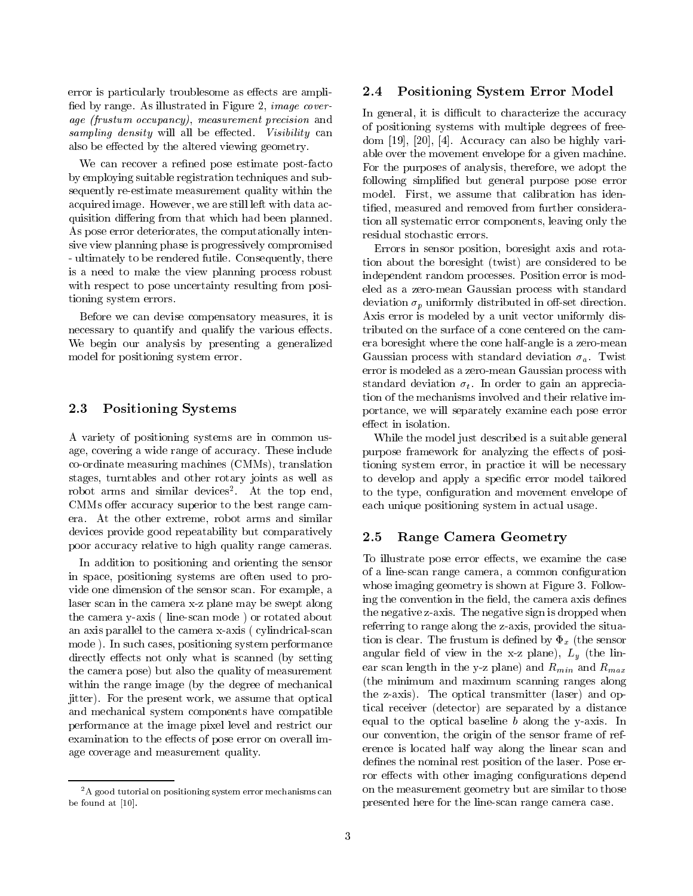error is particularly troublesome as effects are amplified by range. As illustrated in Figure 2, image coverage (frustum occupancy), measurement precision and sampling density will all be extended. Visibility can be extended to a control of the extent of the extent of also be effected by the altered viewing geometry.

We can recover a refined pose estimate post-facto by employing suitable registration techniques and subsequently re-estimate measurement quality within the acquired image. However, we are still left with data acquisition differing from that which had been planned. As pose error deteriorates, the computationally intensive view planning phase is progressively compromised - ultimately to be rendered futile. Consequently, there is a need to make the view planning process robust with respect to pose uncertainty resulting from positioning system errors.

Before we can devise compensatory measures, it is necessary to quantify and qualify the various effects. We begin our analysis by presenting a generalized model for positioning system error.

#### 2.3Positioning Systems

A variety of positioning systems are in common usage, covering a wide range of accuracy. These include co-ordinate measuring machines (CMMs), translation stages, turntables and other rotary joints as well as robot arms and similar devices". At the top end, CMMs offer accuracy superior to the best range camera. At the other extreme, robot arms and similar devices provide good repeatability but comparatively poor accuracy relative to high quality range cameras.

In addition to positioning and orienting the sensor in space, positioning systems are often used to provide one dimension of the sensor scan. For example, a laser scan in the camera x-z plane may be swept along the camera y-axis ( line-scan mode ) or rotated about an axis parallel to the camera x-axis ( cylindrical-scan mode ). In such cases, positioning system performance directly effects not only what is scanned (by setting the camera pose) but also the quality of measurement within the range image (by the degree of mechanical jitter). For the present work, we assume that optical and mechanical system components have compatible performance at the image pixel level and restrict our examination to the effects of pose error on overall image coverage and measurement quality.

### 2.4Positioning System Error Model

In general, it is difficult to characterize the accuracy of positioning systems with multiple degrees of freedom [19], [20], [4]. Accuracy can also be highly variable over the movement envelope for a given machine. For the purposes of analysis, therefore, we adopt the following simplied but general purpose pose error model. First, we assume that calibration has identied, measured and removed from further consideration all systematic error components, leaving only the residual stochastic errors.

Errors in sensor position, boresight axis and rotation about the boresight (twist) are considered to be independent random processes. Position error is modeled as a zero-mean Gaussian process with standard deviation  $\sigma_p$  uniformly distributed in off-set direction. Axis error is modeled by a unit vector uniformly distributed on the surface of a cone centered on the camera boresight where the cone half-angle is a zero-mean Gaussian process with standard deviation  $\sigma_a$ . Twist error is modeled as a zero-mean Gaussian process with standard deviation  $\sigma_t$ . In order to gain an appreciation of the mechanisms involved and their relative importance, we will separately examine each pose error effect in isolation.

While the model just described is a suitable general purpose framework for analyzing the effects of positioning system error, in practice it will be necessary to develop and apply a specific error model tailored to the type, configuration and movement envelope of each unique positioning system in actual usage.

#### 2.5Range Camera Geometry

To illustrate pose error effects, we examine the case of a line-scan range camera, a common conguration whose imaging geometry is shown at Figure 3. Following the convention in the field, the camera axis defines the negative z-axis. The negative sign is dropped when referring to range along the z-axis, provided the situation is clear. The frustum is defined by  $\Phi_x$  (the sensor angular field of view in the x-z plane),  $L_y$  (the linear scan length in the y-z plane) and  $R_{min}$  and  $R_{max}$ (the minimum and maximum scanning ranges along the z-axis). The optical transmitter (laser) and optical receiver (detector) are separated by a distance equal to the optical baseline  $b$  along the y-axis. In our convention, the origin of the sensor frame of reference is located half way along the linear scan and defines the nominal rest position of the laser. Pose error effects with other imaging configurations depend on the measurement geometry but are similar to those presented here for the line-scan range camera case.

<sup>&</sup>lt;sup>2</sup>A good tutorial on positioning system error mechanisms can be found at [10].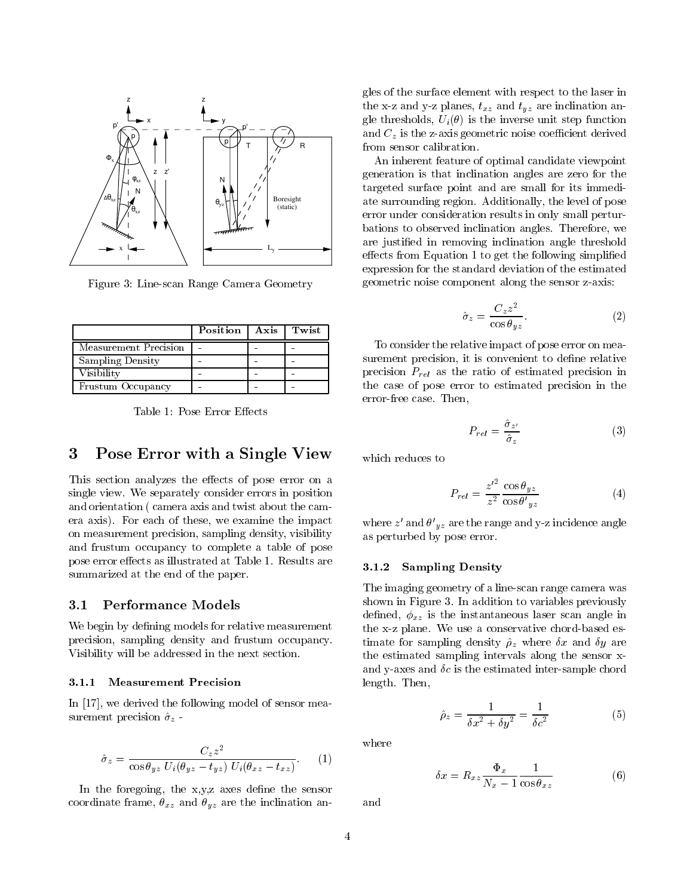

Figure 3: Line-scan Range Camera Geometry

|                         | Position | Axis | Twist |
|-------------------------|----------|------|-------|
| Measurement Precision   |          |      |       |
| <b>Sampling Density</b> |          |      |       |
| Visibility              |          |      |       |
| Frustum Occupancy       |          |      |       |

Table 1: Pose Error Effects

### 3Pose Error with <sup>a</sup> Single View

This section analyzes the effects of pose error on a single view. We separately consider errors in position and orientation ( camera axis and twist about the camera axis). For each of these, we examine the impact on measurement precision, sampling density, visibility and frustum occupancy to complete a table of pose pose error effects as illustrated at Table 1. Results are summarized at the end of the paper.

#### $3.1$ **Performance Models**

We begin by defining models for relative measurement precision, sampling density and frustum occupancy. Visibility will be addressed in the next section.

### 3.1.1 Measurement Precision

In [17], we derived the following model of sensor measurement precision  $\hat{\sigma}_z$  -

$$
\hat{\sigma}_z = \frac{C_z z^2}{\cos \theta_{yz} U_i (\theta_{yz} - t_{yz}) U_i (\theta_{xz} - t_{xz})}.
$$
 (1)

In the foregoing, the  $x,y,z$  axes define the sensor coordinate frame,  $\theta_{xz}$  and  $\theta_{yz}$  are the inclination angles of the surface element with respect to the laser in the x-z and y-z planes,  $t_{xz}$  and  $t_{yz}$  are inclination angle thresholds,  $U_i(\theta)$  is the inverse unit step function and  $C_z$  is the z-axis geometric noise coefficient derived from sensor calibration.

An inherent feature of optimal candidate viewpoint generation is that inclination angles are zero for the targeted surface point and are small for its immediate surrounding region. Additionally, the level of pose error under consideration results in only small perturbations to observed inclination angles. Therefore, we are justied in removing inclination angle threshold  $\theta$  effects from Equation 1 to get the following simplified expression for the standard deviation of the estimated geometric noise component along the sensor z-axis:

$$
\hat{\sigma}_z = \frac{C_z z^2}{\cos \theta_{yz}}.\tag{2}
$$

To consider the relative impact of pose error on measurement precision, it is convenient to define relative precision  $P_{rel}$  as the ratio of estimated precision in the case of pose error to estimated precision in the error-free case. Then,

$$
P_{rel} = \frac{\hat{\sigma}_{z'}}{\hat{\sigma}_z} \tag{3}
$$

which reduces to

$$
P_{rel} = \frac{{z'}^2}{z^2} \frac{\cos \theta_{yz}}{\cos \theta'_{yz}}\tag{4}
$$

where  $z$  and  $\sigma$   $_{yz}$  are the range and y-z incidence angle as perturbed by pose error.

### 3.1.2 Sampling Density

The imaging geometry of a line-scan range camera was shown in Figure 3. In addition to variables previously defined,  $\phi_{xz}$  is the instantaneous laser scan angle in the x-z plane. We use a conservative chord-based estimate for sampling density  $\hat{\rho}_z$  where  $\delta x$  and  $\delta y$  are the estimated sampling intervals along the sensor xand y-axes and  $\delta c$  is the estimated inter-sample chord length. Then,

$$
\hat{\rho}_z = \frac{1}{\delta x^2 + \delta y^2} = \frac{1}{\delta c^2} \tag{5}
$$

where

$$
\delta x = R_{xz} \frac{\Phi_x}{N_x - 1} \frac{1}{\cos \theta_{xz}} \tag{6}
$$

and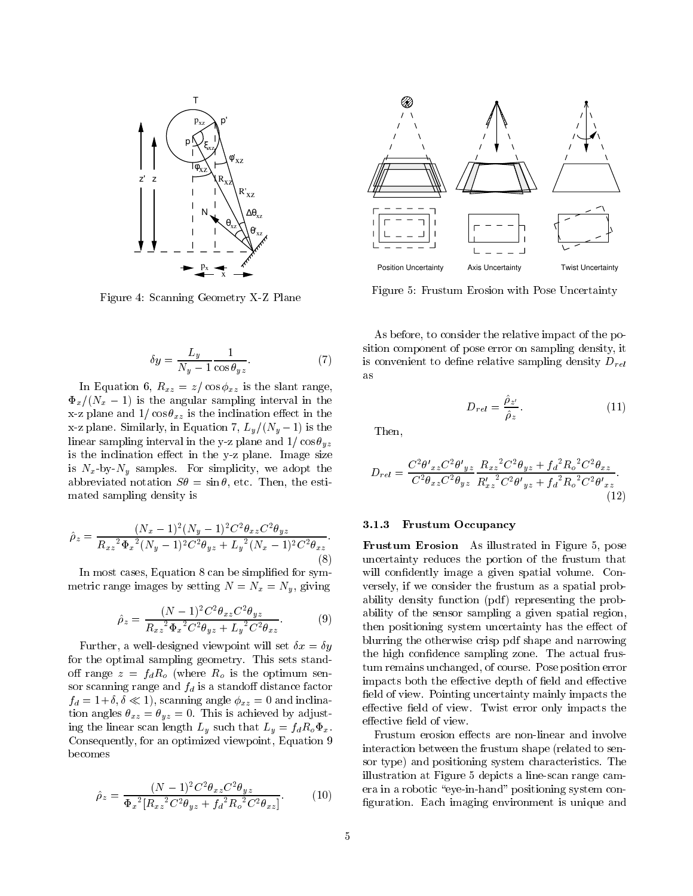

Figure 4: Scanning Geometry X-Z Plane

$$
\delta y = \frac{L_y}{N_y - 1} \frac{1}{\cos \theta_{yz}}.\tag{7}
$$

In Equation 6,  $R_{xz} = z/\cos \phi_{xz}$  is the slant range,  $\Phi_x/(N_x - 1)$  is the angular sampling interval in the x-z plane and  $1/\cos\theta_{xz}$  is the inclination effect in the x-z plane. Similarly, in Equation 7,  $L_y/(N_y - 1)$  is the linear sampling interval in the y-z plane and  $1/\cos\theta_{yz}$ is the inclination effect in the y-z plane. Image size is  $N_x$ -by- $N_y$  samples. For simplicity, we adopt the abbreviated notation  $S\theta = \sin \theta$ , etc. Then, the estimated sampling density is

$$
\hat{\rho}_z = \frac{(N_x - 1)^2 (N_y - 1)^2 C^2 \theta_{xz} C^2 \theta_{yz}}{R_{xz}^2 \Phi_x^2 (N_y - 1)^2 C^2 \theta_{yz} + L_y^2 (N_x - 1)^2 C^2 \theta_{xz}}.
$$
\n(8)

In most cases, Equation 8 can be simplied for symmetric range images by setting  $N = N_x = N_y$ , giving

$$
\hat{\rho}_z = \frac{(N-1)^2 C^2 \theta_{xz} C^2 \theta_{yz}}{R_{xz}^2 \Phi_x^2 C^2 \theta_{yz} + L_y^2 C^2 \theta_{xz}}.
$$
(9)

Further, a well-designed viewpoint will set  $\delta x = \delta y$ for the optimal sampling geometry. This sets standoff range  $z = f_d R_o$  (where  $R_o$  is the optimum sensor scanning range and  $f_d$  is a standoff distance factor  $f_d = 1+\delta, \delta \ll 1$ , scanning angle  $\phi_{xz} = 0$  and inclination angles  $\theta_{xz} = \theta_{yz} = 0$ . This is achieved by adjusting the linear scan length  $L_y$  such that  $L_y = f_d R_o \Phi_x$ . Consequently, for an optimized viewpoint, Equation 9 becomes

$$
\hat{\rho}_z = \frac{(N-1)^2 C^2 \theta_{xz} C^2 \theta_{yz}}{\Phi_x^2 \left[R_{xz}^2 C^2 \theta_{yz} + f_d^2 R_o^2 C^2 \theta_{xz}\right]}.
$$
(10)



Figure 5: Frustum Erosion with Pose Uncertainty

As before, to consider the relative impact of the position component of pose error on sampling density, it is convenient to define relative sampling density  $D_{rel}$ as

$$
D_{rel} = \frac{\hat{\rho}_{z'}}{\hat{\rho}_{z}}.\tag{11}
$$

Then,

$$
D_{rel} = \frac{C^2 \theta'_{xz} C^2 \theta'_{yz}}{C^2 \theta_{xz} C^2 \theta_{yz}} \frac{R_{xz}{}^2 C^2 \theta_{yz} + f_d{}^2 R_o{}^2 C^2 \theta_{xz}}{R'_{xz}{}^2 C^2 \theta'_{yz} + f_d{}^2 R_o{}^2 C^2 \theta'_{xz}}.
$$
\n(12)

### 3.1.3 Frustum Occupancy

Frustum Erosion As illustrated in Figure 5, pose uncertainty reduces the portion of the frustum that will confidently image a given spatial volume. Conversely, if we consider the frustum as a spatial probability density function (pdf) representing the probability of the sensor sampling a given spatial region, then positioning system uncertainty has the effect of blurring the otherwise crisp pdf shape and narrowing the high condence sampling zone. The actual frustum remains unchanged, of course. Pose position error impacts both the effective depth of field and effective field of view. Pointing uncertainty mainly impacts the effective field of view. Twist error only impacts the effective field of view.

Frustum erosion effects are non-linear and involve interaction between the frustum shape (related to sensor type) and positioning system characteristics. The illustration at Figure 5 depicts a line-scan range camera in a robotic "eye-in-hand" positioning system configuration. Each imaging environment is unique and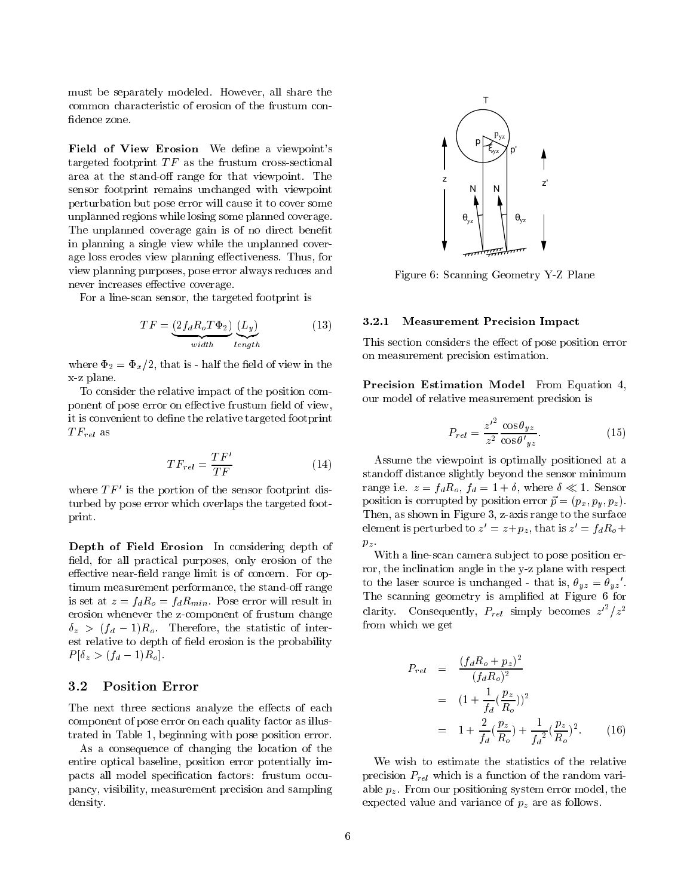must be separately modeled. However, all share the common characteristic of erosion of the frustum con fidence zone.

Field of View Erosion We define a viewpoint's targeted footprint  $TF$  as the frustum cross-sectional area at the stand-off range for that viewpoint. The sensor footprint remains unchanged with viewpoint perturbation but pose error will cause it to cover some unplanned regions while losing some planned coverage. The unplanned coverage gain is of no direct benefit in planning a single view while the unplanned coverage loss erodes view planning effectiveness. Thus, for view planning purposes, pose error always reduces and never increases effective coverage.

For a line-scan sensor, the targeted footprint is

$$
TF = \underbrace{(2f_d R_o T \Phi_2)}_{width} \underbrace{(L_y)}_{length} \tag{13}
$$

where  $\Phi_2 = \Phi_x/2$ , that is - half the field of view in the x-z plane.

To consider the relative impact of the position component of pose error on effective frustum field of view, it is convenient to define the relative targeted footprint as a free as a free as a free as a free as a free as a free as a free as a free as a free as a free as a free as a free as a free as a free as a free as a free as a free as a free as a free as a free as a free as a free as

$$
TF_{rel} = \frac{TF'}{TF} \tag{14}
$$

where  $I$   $I<sub>r</sub>$  is the portion of the sensor footprint disturbed by pose error which overlaps the targeted footprint.

Depth of Field Erosion In considering depth of field, for all practical purposes, only erosion of the effective near-field range limit is of concern. For optimum measurement performance, the stand-off range is set at  $\alpha$  is a function of  $\alpha$  in the following  $\alpha$  . Posterior will result in the set of  $\alpha$ erosion whenever the z-component of frustum change  $\sim$   $\alpha$  ,  $\alpha$  ,  $\alpha$  ,  $\alpha$  is the statistic of  $\alpha$  inter-statistic of inter-statistic of inter-statistic order of  $\alpha$ est relative to depth of field erosion is the probability  $-$  (for  $\alpha$  and  $\alpha$   $\beta$   $\beta$ 

The next three sections analyze the effects of each component of pose error on each quality factor as illustrated in Table 1, beginning with pose position error.

As a consequence of changing the location of the entire optical baseline, position error potentially impacts all model specication factors: frustum occupancy, visibility, measurement precision and sampling density.



Figure 6: Scanning Geometry Y-Z Plane

### 3.2.1 Measurement Precision Impact

This section considers the effect of pose position error on measurement precision estimation.

Precision Estimation Model From Equation 4, our model of relative measurement precision is

$$
P_{rel} = \frac{{z'}^2}{z^2} \frac{\cos \theta_{yz}}{\cos \theta'_{yz}}.
$$
 (15)

Assume the viewpoint is optimally positioned at a stand off distance slightly beyond the sensor minimum range i.e. z *justoj ju* en jaro en sensor (\* =1. sensor position is corrupted by position error ~p = (px; py; pz ). Then, as shown in Figure 3, z-axis range to the surface element is perturbed to  $z = z + p_z$ , that is  $z = f_d n_o +$  $\mathbf{r}$ 

With a line-scan camera subject to pose position error, the inclination angle in the y-z plane with respect to the laser source is unchanged - that is,  $\theta_{uz} = \theta_{uz}$ . The scanning geometry is amplified at Figure 6 for clarity. Consequently,  $P_{rel}$  simply becomes  $z^{-}/z^{2}$ from which we get

$$
P_{rel} = \frac{(f_d R_o + p_z)^2}{(f_d R_o)^2}
$$
  
=  $(1 + \frac{1}{f_d} (\frac{p_z}{R_o}))^2$   
=  $1 + \frac{2}{f_d} (\frac{p_z}{R_o}) + \frac{1}{f_d^2} (\frac{p_z}{R_o})^2.$  (16)

We wish to estimate the statistics of the relative precision Prel which is <sup>a</sup> function of the random variable pz . From our positioning system error model, the expected values and values of  $\mu_A$  and  $\mu$  are as follows.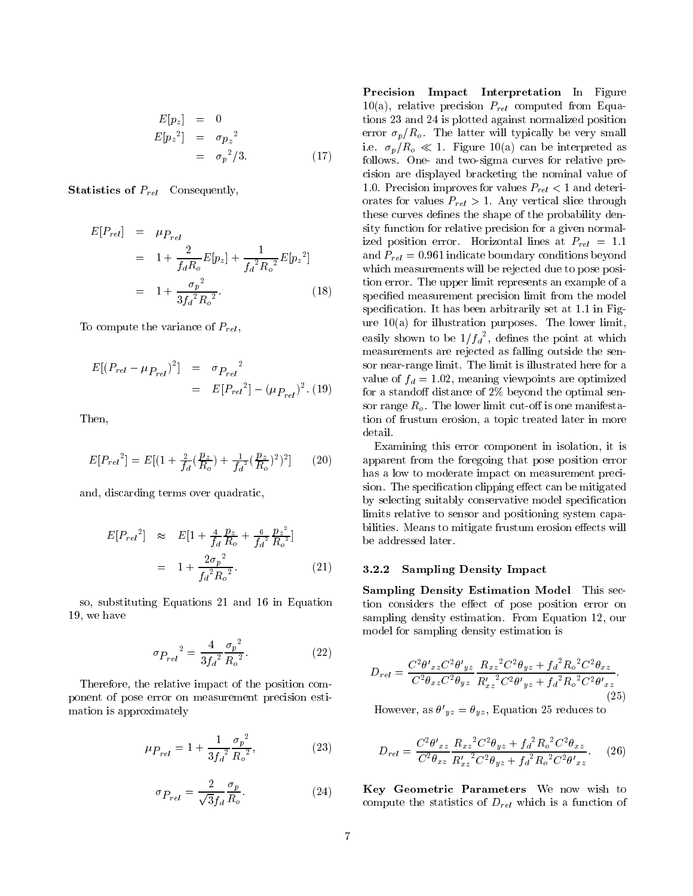$$
E[p_z] = 0
$$
  
\n
$$
E[p_z^2] = \sigma p_z^2
$$
  
\n
$$
= \sigma_p^2/3.
$$
\n(17)

 $S$  . Statistics of Prelimiting of Prelimiting  $S$ 

$$
E[P_{rel}] = \mu_{P_{rel}}
$$
  
=  $1 + \frac{2}{f_d R_o} E[p_z] + \frac{1}{f_d^2 R_o^2} E[p_z^2]$   
=  $1 + \frac{\sigma_p^2}{3f_d^2 R_o^2}$ . (18)

To compute the variance of  $P_{rel}$ ,

$$
E[(P_{rel} - \mu_{P_{rel}})^2] = \sigma_{P_{rel}}^2
$$
  
=  $E[P_{rel}^2] - (\mu_{P_{rel}})^2$ . (19)

Then,

$$
E[P_{rel}^2] = E[(1 + \frac{2}{f_d}(\frac{p_z}{R_o}) + \frac{1}{f_d^2}(\frac{p_z}{R_o})^2)^2]
$$
 (20)

and, discarding terms over quadratic,

$$
E[P_{rel}^2] \approx E[1 + \frac{4}{f_d} \frac{p_z}{R_o} + \frac{6}{f_d^2} \frac{p_z^2}{R_o^2}]
$$
  
=  $1 + \frac{2\sigma_p^2}{f_d^2 R_o^2}$ . (21)

so, substituting Equations 21 and 16 in Equation 19, we have

$$
\sigma_{P_{rel}}^2 = \frac{4}{3f_d^2} \frac{\sigma_p^2}{R_o^2}.
$$
\n(22)

Therefore, the relative impact of the position component of pose error on measurement precision estimation is approximately

$$
\mu_{P_{rel}} = 1 + \frac{1}{3f_d^2} \frac{\sigma_p^2}{R_o^2},\tag{23}
$$

$$
\sigma_{P_{rel}} = \frac{2}{\sqrt{3}f_d} \frac{\sigma_p}{R_o}.
$$
\n(24)

Precision Impact Interpretation In Figure 10(a), relative precision  $P_{rel}$  computed from Equations 23 and 24 is plotted against normalized position error  $\sigma_p/R_o$ . The latter will typically be very small i.e.  $\sigma_p/R_o \ll 1$ . Figure 10(a) can be interpreted as follows. One- and two-sigma curves for relative precision are displayed bracketing the nominal value of 1.0. Precision improves for values  $P_{rel} < 1$  and deteriorates for values  $P_{rel} > 1$ . Any vertical slice through these curves defines the shape of the probability density function for relative precision for a given normalized position error. Horizontal lines at  $P_{rel} = 1.1$ and  $P_{rel} = 0.961$  indicate boundary conditions beyond which measurements will be rejected due to pose position error. The upper limit represents an example of a specied measurement precision limit from the model specification. It has been arbitrarily set at 1.1 in Figure 10(a) for illustration purposes. The lower limit, easily shown to be  $1/f_d$ , defines the point at which measurements are rejected as falling outside the sensor near-range limit. The limit is illustrated here for a value of  $f_d = 1.02$ , meaning viewpoints are optimized for a standoff distance of  $2\%$  beyond the optimal sensor range  $R_o$ . The lower limit cut-off is one manifestation of frustum erosion, a topic treated later in more detail.

Examining this error component in isolation, it is apparent from the foregoing that pose position error has a low to moderate impact on measurement precision. The specification clipping effect can be mitigated by selecting suitably conservative model specification limits relative to sensor and positioning system capabilities. Means to mitigate frustum erosion effects will be addressed later.

#### $3.2.2$ Sampling Density Impact

Sampling Density Estimation Model This section considers the effect of pose position error on sampling density estimation. From Equation 12, our model for sampling density estimation is

$$
D_{rel} = \frac{C^2 \theta'_{xz} C^2 \theta'_{yz}}{C^2 \theta_{xz} C^2 \theta_{yz}} \frac{R_{xz}{}^2 C^2 \theta_{yz} + f_d{}^2 R_o{}^2 C^2 \theta_{xz}}{R'_{xz}{}^2 C^2 \theta'_{yz} + f_d{}^2 R_o{}^2 C^2 \theta'_{xz}}.
$$
\n(25)

However, as  $\sigma_{uz} = \sigma_{uz}$ , Equation 25 reduces to

$$
D_{rel} = \frac{C^2 \theta'_{xz}}{C^2 \theta_{xz}} \frac{R_{xz}{}^2 C^2 \theta_{yz} + f_d{}^2 R_o{}^2 C^2 \theta_{xz}}{R'_{xz}{}^2 C^2 \theta_{yz} + f_d{}^2 R_o{}^2 C^2 \theta'_{xz}}.
$$
 (26)

Key Geometric Parameters We now wish to compute the statistics of  $D_{rel}$  which is a function of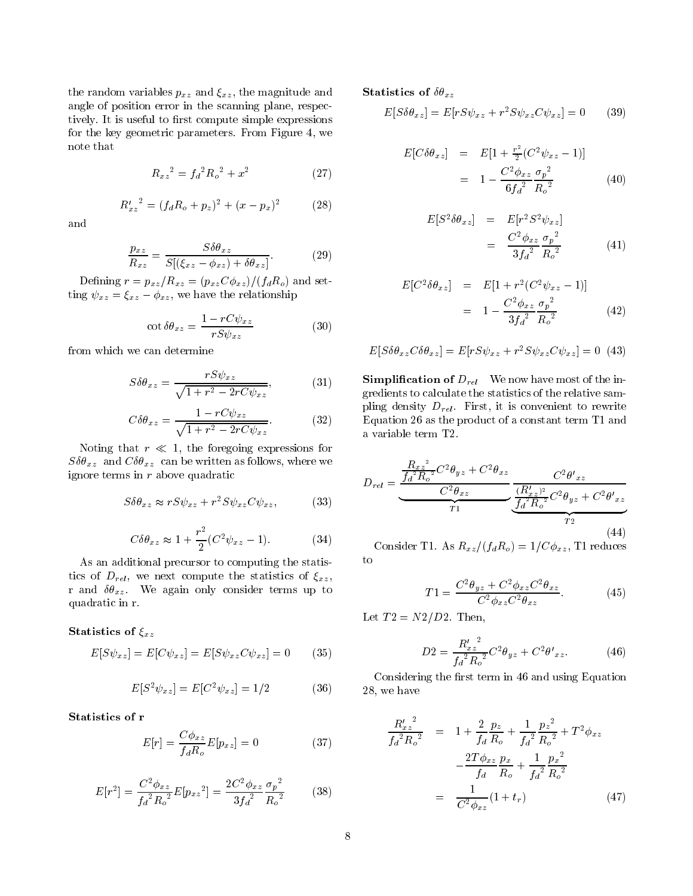the random variables  $p_{xz}$  and  $\xi_{xz}$ , the magnitude and angle of position error in the scanning plane, respectively. It is useful to first compute simple expressions for the key geometric parameters. From Figure 4, we

$$
R_{xz}^2 = f_d^2 R_o^2 + x^2 \tag{27}
$$

(28)

$$
R'_{xz}^2 = (f_d R_o + p_z)^2 + (x - p_x)^2
$$

and

$$
\frac{p_{xz}}{R_{xz}} = \frac{S\delta\theta_{xz}}{S[(\xi_{xz} - \phi_{xz}) + \delta\theta_{xz}]}.
$$
(29)

Defining  $r = p_{xz}/R_{xz} = (p_{xz}C\phi_{xz})/(f_dR_o)$  and setting  $\psi_{xz} = \xi_{xz} - \phi_{xz}$ , we have the relationship

$$
\cot \delta \theta_{xz} = \frac{1 - rC\psi_{xz}}{rS\psi_{xz}}\tag{30}
$$

from which we can determine

$$
S\delta\theta_{xz} = \frac{rS\psi_{xz}}{\sqrt{1 + r^2 - 2rC\psi_{xz}}},\tag{31}
$$

$$
C\delta\theta_{xz} = \frac{1 - rC\psi_{xz}}{\sqrt{1 + r^2 - 2rC\psi_{xz}}}.
$$
 (32)

Noting that  $r \ll 1$ , the foregoing expressions for  $S\delta\theta_{xz}$  and  $C\delta\theta_{xz}$  can be written as follows, where we ignore terms in  $r$  above quadratic

$$
S\delta\theta_{xz} \approx rS\psi_{xz} + r^2S\psi_{xz}C\psi_{xz},\tag{33}
$$

$$
C\delta\theta_{xz} \approx 1 + \frac{r^2}{2}(C^2\psi_{xz} - 1). \tag{34}
$$

As an additional precursor to computing the statistics of  $D_{rel}$ , we next compute the statistics of  $\xi_{xz}$ , r and  $\delta\theta_{xz}$ . We again only consider terms up to quadratic in r.

### Statistics of  $\xi_{xz}$

$$
E[S\psi_{xz}] = E[C\psi_{xz}] = E[S\psi_{xz}C\psi_{xz}] = 0 \qquad (35)
$$

$$
E[S^2 \psi_{xz}] = E[C^2 \psi_{xz}] = 1/2 \tag{36}
$$

Statistics of <sup>r</sup>

$$
E[r] = \frac{C\phi_{xz}}{f_d R_o} E[p_{xz}] = 0 \tag{37}
$$

$$
E[r^2] = \frac{C^2 \phi_{xz}}{f_d^2 R_o^2} E[p_{xz}^2] = \frac{2C^2 \phi_{xz}}{3f_d^2} \frac{\sigma_p^2}{R_o^2}
$$
 (38)

Statistics of  $\delta\theta_{xz}$ 

$$
E[S\delta\theta_{xz}] = E[rS\psi_{xz} + r^2S\psi_{xz}C\psi_{xz}] = 0
$$
 (39)

$$
E[C\delta\theta_{xz}] = E[1 + \frac{r^2}{2}(C^2\psi_{xz} - 1)]
$$
  
=  $1 - \frac{C^2\phi_{xz}}{6f_d^2} \frac{\sigma_p^2}{R_o^2}$  (40)

$$
E[S^2 \delta \theta_{xz}] = E[r^2 S^2 \psi_{xz}]
$$
  
= 
$$
\frac{C^2 \phi_{xz}}{3f_d^2} \frac{\sigma_p^2}{R_o^2}
$$
 (41)

$$
E[C^2 \delta \theta_{xz}] = E[1 + r^2 (C^2 \psi_{xz} - 1)]
$$
  
=  $1 - \frac{C^2 \phi_{xz}}{3f_d^2} \frac{\sigma_p^2}{R_o^2}$  (42)

$$
E[S\delta\theta_{xz}C\delta\theta_{xz}] = E[rS\psi_{xz} + r^2S\psi_{xz}C\psi_{xz}] = 0
$$
 (43)

**Simplification of**  $D_{rel}$  We now have most of the ingredients to calculate the statistics of the relative sampling density  $D_{rel}$ . First, it is convenient to rewrite Equation 26 as the product of a constant term T1 and a variable term T2.

$$
D_{rel} = \underbrace{\frac{R_{xz}^2}{f_d^2 R_o^2} C^2 \theta_{yz} + C^2 \theta_{xz}}_{T1} \underbrace{\frac{C^2 \theta'_{xz}}{(R'_{xz})^2} C^2 \theta_{yz}}_{T2} + C^2 \theta'_{xz}}_{T2}
$$
\n(44)

Consider T1. As  $R_{xz}/(f_dR_o)=1/C\phi_{xz}$ , T1 reduces to

$$
T1 = \frac{C^2 \theta_{yz} + C^2 \phi_{xz} C^2 \theta_{xz}}{C^2 \phi_{xz} C^2 \theta_{xz}}.
$$
 (45)

Let  $T2 = N2/D2$ . Then,

$$
D2 = \frac{R'_{xz}^2}{f_d^2 R_o^2} C^2 \theta_{yz} + C^2 \theta'_{xz}.
$$
 (46)

Considering the first term in 46 and using Equation 28, we have

$$
\frac{R'_{xz}{}^2}{f_d{}^2 R_o{}^2} = 1 + \frac{2}{f_d} \frac{p_z}{R_o} + \frac{1}{f_d{}^2} \frac{p_z{}^2}{R_o{}^2} + T^2 \phi_{xz}
$$
\n
$$
- \frac{2T \phi_{xz} }{f_d} \frac{p_x}{R_o} + \frac{1}{f_d{}^2} \frac{p_x{}^2}{R_o{}^2}
$$
\n
$$
= \frac{1}{C^2 \phi_{xz}} (1 + t_r) \tag{47}
$$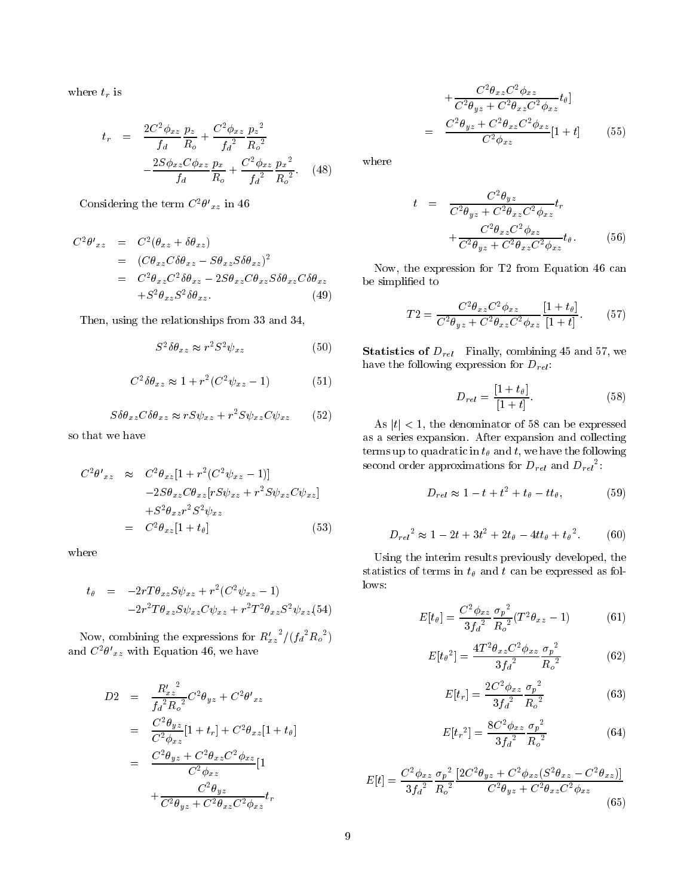where  $t_r$  is

$$
t_r = \frac{2C^2 \phi_{xz}}{f_d} \frac{p_z}{R_o} + \frac{C^2 \phi_{xz}}{f_d^2} \frac{p_z^2}{R_o^2}
$$

$$
-\frac{2S\phi_{xz}C\phi_{xz}}{f_d} \frac{p_x}{R_o} + \frac{C^2 \phi_{xz}}{f_d^2} \frac{p_x^2}{R_o^2}.
$$
 (48)

Considering the term  $C^-\sigma_{xz}$  in 40

$$
C^{2}\theta'_{xz} = C^{2}(\theta_{xz} + \delta\theta_{xz})
$$
  
= 
$$
(C\theta_{xz}C\delta\theta_{xz} - S\theta_{xz}S\delta\theta_{xz})^{2}
$$
  
= 
$$
C^{2}\theta_{xz}C^{2}\delta\theta_{xz} - 2S\theta_{xz}C\theta_{xz}S\delta\theta_{xz}C\delta\theta_{xz}
$$
  
+
$$
S^{2}\theta_{xz}S^{2}\delta\theta_{xz}.
$$
 (49)

Then, using the relationships from 33 and 34,

$$
S^2 \delta \theta_{xz} \approx r^2 S^2 \psi_{xz} \tag{50}
$$

$$
C^2 \delta \theta_{xz} \approx 1 + r^2 (C^2 \psi_{xz} - 1)
$$
 (51)

$$
S\delta\theta_{xz}C\delta\theta_{xz} \approx rS\psi_{xz} + r^2S\psi_{xz}C\psi_{xz}
$$
 (52)

so that we have

$$
C^2\theta'_{xz} \approx C^2\theta_{xz}[1+r^2(C^2\psi_{xz}-1)]
$$
  
\n
$$
-2S\theta_{xz}C\theta_{xz}[rS\psi_{xz}+r^2S\psi_{xz}C\psi_{xz}]
$$
  
\n
$$
+S^2\theta_{xz}r^2S^2\psi_{xz}
$$
  
\n
$$
= C^2\theta_{xz}[1+t_\theta]
$$
 (53)

where

$$
t_{\theta} = -2rT\theta_{xz}S\psi_{xz} + r^2(C^2\psi_{xz} - 1)
$$
  
-2r<sup>2</sup>T\theta\_{xz}S\psi\_{xz}C\psi\_{xz} + r^2T^2\theta\_{xz}S^2\psi\_{xz}. (54)

Now, combining the expressions for  $R_{xz}^{\prime \prime}/(f_d^2 R_o^2)$ and  $\cup$   $\exists \theta \; xz$  with Equation 40, we have

$$
D2 = \frac{R'_{xz}^2}{f_d^2 R_o^2} C^2 \theta_{yz} + C^2 \theta'_{xz}
$$
  
\n
$$
= \frac{C^2 \theta_{yz}}{C^2 \phi_{xz}} [1 + t_r] + C^2 \theta_{xz} [1 + t_\theta]
$$
  
\n
$$
= \frac{C^2 \theta_{yz} + C^2 \theta_{xz} C^2 \phi_{xz}}{C^2 \phi_{xz}} [1 + \frac{C^2 \theta_{yz}}{C^2 \theta_{yz} + C^2 \theta_{xz} C^2 \phi_{xz}} t_r]
$$

$$
+\frac{C^2\theta_{xz}C^2\phi_{xz}}{C^2\theta_{yz} + C^2\theta_{xz}C^2\phi_{xz}}t_\theta]
$$
  
= 
$$
\frac{C^2\theta_{yz} + C^2\theta_{xz}C^2\phi_{xz}}{C^2\phi_{xz}}[1+t]
$$
 (55)

where

$$
t = \frac{C^2 \theta_{yz}}{C^2 \theta_{yz} + C^2 \theta_{xz} C^2 \phi_{xz}} t_r
$$

$$
+ \frac{C^2 \theta_{xz} C^2 \phi_{xz}}{C^2 \theta_{yz} + C^2 \theta_{xz} C^2 \phi_{xz}} t_\theta. \tag{56}
$$

Now, the expression for T2 from Equation 46 can be simplied to

$$
T2 = \frac{C^2 \theta_{xz} C^2 \phi_{xz}}{C^2 \theta_{yz} + C^2 \theta_{xz} C^2 \phi_{xz}} \frac{[1 + t_{\theta}]}{[1 + t]}.
$$
 (57)

**Statistics of**  $D_{rel}$  Finally, combining 45 and 57, we have the following expression for  $D_{rel}$ :

$$
D_{rel} = \frac{[1+t_{\theta}]}{[1+t]}.
$$
\n(58)

As  $|t|$  < 1, the denominator of 58 can be expressed as a series expansion. After expansion and collecting terms up to quadratic in  $t_{\theta}$  and  $t$ , we have the following second order approximations for  $D_{rel}$  and  $D_{rel}$  :

$$
D_{rel} \approx 1 - t + t^2 + t_{\theta} - tt_{\theta}, \qquad (59)
$$

$$
D_{rel}^2 \approx 1 - 2t + 3t^2 + 2t_{\theta} - 4tt_{\theta} + t_{\theta}^2. \tag{60}
$$

Using the interim results previously developed, the statistics of terms in  $t_{\theta}$  and t can be expressed as follows:

$$
E[t_{\theta}] = \frac{C^2 \phi_{xz}}{3f_d^2} \frac{\sigma_p^2}{R_o^2} (T^2 \theta_{xz} - 1)
$$
 (61)

$$
E[t_{\theta}^{2}] = \frac{4T^{2}\theta_{xz}C^{2}\phi_{xz}}{3f_{d}^{2}}\frac{\sigma_{p}^{2}}{R_{o}^{2}}
$$
(62)

$$
E[t_r] = \frac{2C^2 \phi_{xz}}{3f_d^2} \frac{\sigma_p^2}{R_o^2}
$$
 (63)

$$
E[t_r^2] = \frac{8C^2 \phi_{xz}}{3f_d^2} \frac{\sigma_p^2}{R_o^2}
$$
 (64)

$$
E[t] = \frac{C^2 \phi_{xz}}{3f_d^2} \frac{\sigma_p^2}{R_o^2} \frac{[2C^2 \theta_{yz} + C^2 \phi_{xz} (S^2 \theta_{xz} - C^2 \theta_{xz})]}{C^2 \theta_{yz} + C^2 \theta_{xz} C^2 \phi_{xz}}
$$
(65)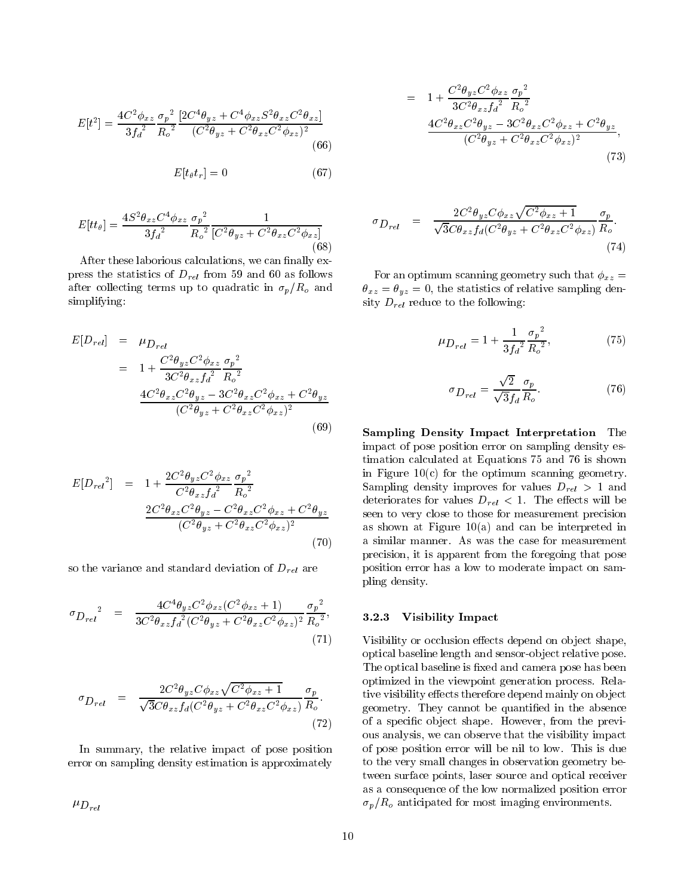$$
E[t^2] = \frac{4C^2 \phi_{xz}}{3f_d^2} \frac{\sigma_p^2}{R_o^2} \frac{[2C^4 \theta_{yz} + C^4 \phi_{xz} S^2 \theta_{xz} C^2 \theta_{xz}]}{(C^2 \theta_{yz} + C^2 \theta_{xz} C^2 \phi_{xz})^2} \tag{66}
$$

$$
E[t_{\theta} t_r] = 0 \tag{67}
$$

$$
E[tt_{\theta}] = \frac{4S^2 \theta_{xz} C^4 \phi_{xz}}{3f_a^2} \frac{\sigma_p^2}{R_o^2} \frac{1}{[C^2 \theta_{yz} + C^2 \theta_{xz} C^2 \phi_{xz}]} \tag{68}
$$

After these laborious calculations, we can finally express the statistics of  $D_{rel}$  from 59 and 60 as follows after collecting terms up to quadratic in  $\sigma_p/R_o$  and simplifying:

$$
E[D_{rel}] = \mu_{D_{rel}}
$$
  
=  $1 + \frac{C^2 \theta_{yz} C^2 \phi_{xz}}{3C^2 \theta_{xz} f_d^2} \frac{\sigma_p^2}{R_o^2}$   

$$
\frac{4C^2 \theta_{xz} C^2 \theta_{yz} - 3C^2 \theta_{xz} C^2 \phi_{xz} + C^2 \theta_{yz}}{(C^2 \theta_{yz} + C^2 \theta_{xz} C^2 \phi_{xz})^2}
$$
(69)

$$
E[D_{rel}^2] = 1 + \frac{2C^2\theta_{yz}C^2\phi_{xz}}{C^2\theta_{xz}f_d^2} \frac{\sigma_p^2}{R_o^2}
$$
  

$$
\frac{2C^2\theta_{xz}C^2\theta_{yz} - C^2\theta_{xz}C^2\phi_{xz} + C^2\theta_{yz}}{(C^2\theta_{yz} + C^2\theta_{xz}C^2\phi_{xz})^2}
$$
(70)

so the variance and standard deviation of  $D_{rel}$  are

$$
\sigma_{D_{rel}}^2 = \frac{4C^4 \theta_{yz} C^2 \phi_{xz} (C^2 \phi_{xz} + 1)}{3C^2 \theta_{xz} f_d^2 (C^2 \theta_{yz} + C^2 \theta_{xz} C^2 \phi_{xz})^2} \frac{\sigma_p^2}{R_o^2},
$$
\n(71)

$$
\sigma_{D_{rel}} = \frac{2C^2\theta_{yz}C\phi_{xz}\sqrt{C^2\phi_{xz}+1}}{\sqrt{3}C\theta_{xz}f_d(C^2\theta_{yz}+C^2\theta_{xz}C^2\phi_{xz})}\frac{\sigma_p}{R_o}.
$$
\n(72)

In summary, the relative impact of pose position error on sampling density estimation is approximately

 $\mu_{D_{rel}}$ 

$$
= 1 + \frac{C^2 \theta_{yz} C^2 \phi_{xz}}{3C^2 \theta_{xz} f_d^2} \frac{\sigma_p^2}{R_o^2}
$$
  

$$
\frac{4C^2 \theta_{xz} C^2 \theta_{yz} - 3C^2 \theta_{xz} C^2 \phi_{xz} + C^2 \theta_{yz}}{(C^2 \theta_{yz} + C^2 \theta_{xz} C^2 \phi_{xz})^2},
$$
  
(73)

$$
\sigma_{D_{rel}} = \frac{2C^2\theta_{yz}C\phi_{xz}\sqrt{C^2\phi_{xz}+1}}{\sqrt{3}C\theta_{xz}f_d(C^2\theta_{yz}+C^2\theta_{xz}C^2\phi_{xz})}\frac{\sigma_p}{R_o}.
$$
\n(74)

For an optimum scanning geometry such that  $\phi_{xz}$  =  $\theta_{xz} = \theta_{yz} = 0$ , the statistics of relative sampling density  $D_{rel}$  reduce to the following:

$$
\mu_{D_{rel}} = 1 + \frac{1}{3{f_d}^2} \frac{{\sigma_p}^2}{R_o^2},\tag{75}
$$

$$
\sigma_{D_{rel}} = \frac{\sqrt{2}}{\sqrt{3}f_d} \frac{\sigma_p}{R_o}.
$$
\n(76)

sampling Density Impact Interpretation Theoretical Interpretation impact of pose position error on sampling density estimation calculated at Equations 75 and 76 is shown in Figure  $10(c)$  for the optimum scanning geometry. Sampling density improves for values  $D_{rel} > 1$  and deteriorates for values  $D_{rel} < 1$ . The effects will be seen to very close to those for measurement precision as shown at Figure 10(a) and can be interpreted in a similar manner. As was the case for measurement precision, it is apparent from the foregoing that pose position error has a low to moderate impact on sampling density.

### 3.2.3 visibility in particle

Visibility or occlusion effects depend on object shape, optical baseline length and sensor-ob ject relative pose. The optical baseline is fixed and camera pose has been optimized in the viewpoint generation process. Relative visibility effects therefore depend mainly on object geometry. They cannot be quantied in the absence of a specific object shape. However, from the previous analysis, we can observe that the visibility impact of pose position error will be nil to low. This is due to the very small changes in observation geometry between surface points, laser source and optical receiver as a consequence of the low normalized position error  $\sigma_p/R_o$  anticipated for most imaging environments.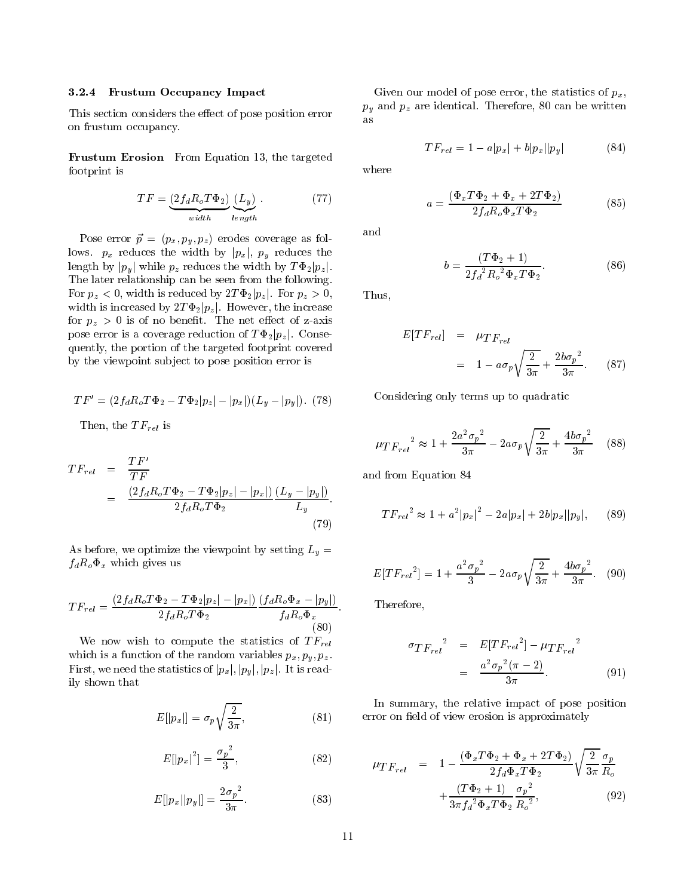### 3.2.4 Frustum Occupancy Impact

This section considers the effect of pose position error on frustum occupancy.

Frustum Erosion From Equation 13, the targeted footprint is

$$
TF = \underbrace{(2f_dR_oT\Phi_2)}_{width} \underbrace{(L_y)}_{length} . \tag{77}
$$

 $P = \frac{P}{P}$  as follows: provide a following coverage as follows. px reduces the width by <sup>j</sup>pxj, py reduces the length by jpy <sup>j</sup> while pz reduces the width by <sup>T</sup> 2jpz j. The later relationship can be seen from the following. For p $\mu$  , we define the state below  $\mu$  is reduced by  $\mu$  is reduced by  $\mu$ width is increased by  $2T\Phi_2|p_z|$ . However, the increase for  $\bm{r}\times\bm{r}$  , the net extension of  $\bm{r}$  is of z-axis of z-axis of  $\bm{r}$  axis of  $\bm{r}$ pose error is a coverage reduction of  $T\Phi_2|p_z|$ . Consequently, the portion of the targeted footprint covered by the viewpoint sub ject to pose position error is

$$
TF' = (2f_d R_o T \Phi_2 - T \Phi_2 |p_z| - |p_x|) (L_y - |p_y|). \tag{78}
$$

 $\blacksquare$  the T  $\blacksquare$ 

$$
TF_{rel} = \frac{TF'}{TF}
$$
  
= 
$$
\frac{(2f_dR_oT\Phi_2 - T\Phi_2|p_z| - |p_x|)}{2f_dR_oT\Phi_2} \frac{(L_y - |p_y|)}{L_y}.
$$
 (79)

As before, we optimize the viewpoint by setting  $\mathcal{A} = \mathcal{U}$  $f(x - y) = f(x)$  which gives use the set

$$
TF_{rel} = \frac{(2f_d R_o T \Phi_2 - T \Phi_2 |p_z| - |p_x|) (f_d R_o \Phi_x - |p_y|)}{2f_d R_o T \Phi_2} \frac{(f_d R_o \Phi_x - |p_y|)}{f_d R_o \Phi_x}
$$
\n(80)

where  $\mathbf{r}$  and the statistical term in the statistics of T Frell statistics of T  $\mathbf{r}$ which is a function of the function of the random variables  $p\,x$  ;  $p\,y$  ;  $p\,y$  . First, we need the statistics of jpy junction  $\mathbf{F}[\mathbf{w}]\cup\mathbf{F}[\mathbf{w}]\cup\mathbf{F}[\mathbf{w}]\times\mathbf{F}[\mathbf{w}]\times\mathbf{F}[\mathbf{w}]\times\mathbf{F}[\mathbf{w}]\times\mathbf{F}[\mathbf{w}]\times\mathbf{F}[\mathbf{w}]\times\mathbf{F}[\mathbf{w}]\times\mathbf{F}[\mathbf{w}]\times\mathbf{F}[\mathbf{w}]\times\mathbf{F}[\mathbf{w}]\times\mathbf{F}$ ily shown that

$$
E[|p_x|] = \sigma_p \sqrt{\frac{2}{3\pi}},\tag{81}
$$

$$
E[|p_x|^2] = \frac{\sigma_p^2}{3},\tag{82}
$$

$$
E[|p_x||p_y|] = \frac{2\sigma_p^2}{3\pi}.
$$
\n(83)

Given our model of pose error, the statistics of  $p_x$ ,  $p$   $\mu$  and  $p$   $\mu$  are identical. Therefore, 80 can be written be written as

$$
TF_{rel} = 1 - a|p_x| + b|p_x||p_y| \tag{84}
$$

where

$$
a = \frac{(\Phi_x T \Phi_2 + \Phi_x + 2T \Phi_2)}{2f_d R_o \Phi_x T \Phi_2}
$$
(85)

and

$$
b = \frac{(T\Phi_2 + 1)}{2f_d^2 R_o^2 \Phi_x T \Phi_2}.
$$
 (86)

Thus,

$$
E[TF_{rel}] = \mu_{TF_{rel}}
$$
  
=  $1 - a\sigma_p \sqrt{\frac{2}{3\pi}} + \frac{2b\sigma_p^2}{3\pi}$ . (87)

Considering only terms up to quadratic

$$
\mu T {F_{rel}}^2 \approx 1 + \frac{2 a^2 {\sigma_p}^2}{3 \pi} - 2 a {\sigma_p} \sqrt{\frac{2}{3 \pi}} + \frac{4 b {\sigma_p}^2}{3 \pi} \quad (88)
$$

and from Equation 84

$$
TF_{rel}^{2} \approx 1 + a^{2} |p_{x}|^{2} - 2a|p_{x}| + 2b|p_{x}||p_{y}|,
$$
 (89)

$$
E[TF_{rel}^2] = 1 + \frac{a^2 \sigma_p^2}{3} - 2a\sigma_p \sqrt{\frac{2}{3\pi}} + \frac{4b\sigma_p^2}{3\pi}.
$$
 (90)

Therefore,

$$
\sigma_{TF_{rel}}^2 = E[TF_{rel}^2] - \mu_{TF_{rel}}^2
$$
  
= 
$$
\frac{a^2 \sigma_p^2 (\pi - 2)}{3\pi}.
$$
 (91)

In summary, the relative impact of pose position error on field of view erosion is approximately

$$
\mu_{TF_{rel}} = 1 - \frac{(\Phi_x T \Phi_2 + \Phi_x + 2T \Phi_2)}{2f_d \Phi_x T \Phi_2} \sqrt{\frac{2}{3\pi}} \frac{\sigma_p}{R_o} + \frac{(T \Phi_2 + 1)}{3\pi f_d^2 \Phi_x T \Phi_2} \frac{\sigma_p^2}{R_o^2},
$$
\n(92)

: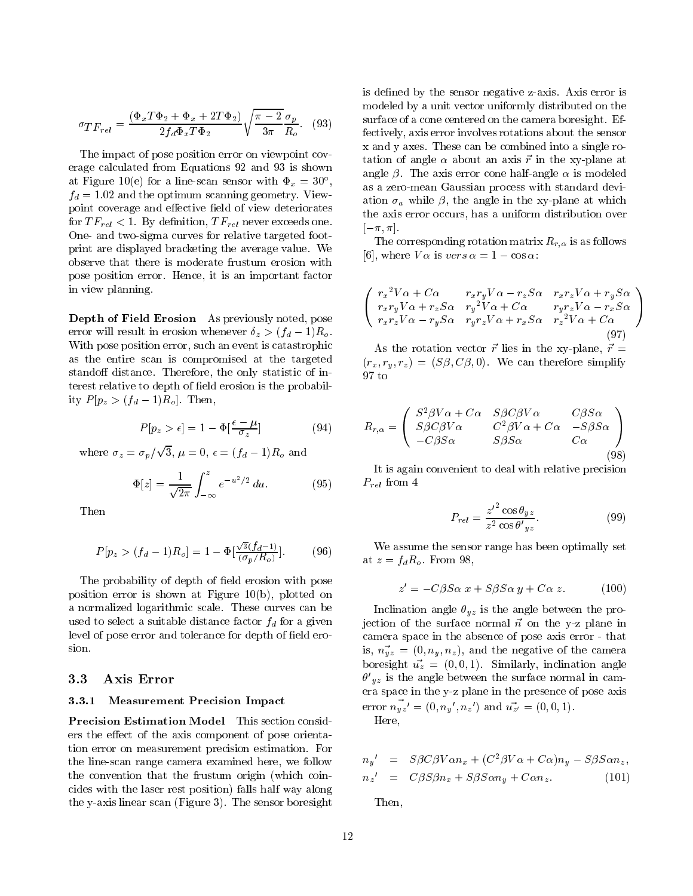$$
\sigma_{TF_{rel}} = \frac{(\Phi_x T \Phi_2 + \Phi_x + 2T \Phi_2)}{2f_d \Phi_x T \Phi_2} \sqrt{\frac{\pi - 2}{3\pi}} \frac{\sigma_p}{R_o}.
$$
 (93)

The impact of pose position error on viewpoint coverage calculated from Equations 92 and 93 is shown at Figure 10(e) for a line-scan sensor with  $\Psi_x = 30$ ,  $f_d = 1.02$  and the optimum scanning geometry. Viewpoint coverage and effective field of view deteriorates for  $TF_{rel} < 1$ . By definition,  $TF_{rel}$  never exceeds one. One- and two-sigma curves for relative targeted footprint are displayed bracketing the average value. We observe that there is moderate frustum erosion with pose position error. Hence, it is an important factor in view planning.

Depth of Field Erosion As previously noted, pose error will result in erosion whenever  $\delta_z > (f_d - 1)R_o$ . With pose position error, such an event is catastrophic as the entire scan is compromised at the targeted stand off distance. Therefore, the only statistic of interest relative to depth of field erosion is the probability  $P[p_z > (f_d - 1)R_o]$ . Then,

$$
P[p_z > \epsilon] = 1 - \Phi\left[\frac{\epsilon - \mu}{\sigma_z}\right] \tag{94}
$$

where  $\mathbb{Z}$  = p= provide a state of the state of the state of the state of the state of the state of the state of the state of the state of the state of the state of the state of the state of the state of the state of the state of the stat 3, = 0, = (fd 1)Ro and

$$
\Phi[z] = \frac{1}{\sqrt{2\pi}} \int_{-\infty}^{z} e^{-u^2/2} du.
$$
 (95)

Then

$$
P[p_z > (f_d - 1)R_o] = 1 - \Phi[\frac{\sqrt{3}(f_d - 1)}{(\sigma_p/R_o)}].
$$
 (96)

The probability of depth of field erosion with pose position error is shown at Figure 10(b), plotted on a normalized logarithmic scale. These curves can be used to select a suitable distance factor  $f_d$  for a given level of pose error and tolerance for depth of field erosion.

## 3.3 Axis Error

### 3.3.1 Measurement Precision Impact

Precision Estimation Model This section considers the effect of the axis component of pose orientation error on measurement precision estimation. For the line-scan range camera examined here, we follow the convention that the frustum origin (which coincides with the laser rest position) falls half way along the y-axis linear scan (Figure 3). The sensor boresight is defined by the sensor negative z-axis. Axis error is modeled by a unit vector uniformly distributed on the surface of a cone centered on the camera boresight. Effectively, axis error involves rotations about the sensor x and y axes. These can be combined into a single rotation of angle  $\alpha$  about an axis  $\vec{r}$  in the xy-plane at angle  $\beta$ . The axis error cone half-angle  $\alpha$  is modeled as a zero-mean Gaussian process with standard deviation  $\sigma_a$  while  $\beta$ , the angle in the xy-plane at which the axis error occurs, has a uniform distribution over  $[-\pi, \pi]$ .

The corresponding rotation matrix  $R_{r,\alpha}$  is as follows [6], where  $V \alpha$  is vers  $\alpha = 1 - \cos \alpha$ :

$$
\begin{pmatrix}\nr_x^2 V \alpha + C \alpha & r_x r_y V \alpha - r_z S \alpha & r_x r_z V \alpha + r_y S \alpha \\
r_x r_y V \alpha + r_z S \alpha & r_y^2 V \alpha + C \alpha & r_y r_z V \alpha - r_x S \alpha \\
r_x r_z V \alpha - r_y S \alpha & r_y r_z V \alpha + r_x S \alpha & r_z^2 V \alpha + C \alpha\n\end{pmatrix}
$$
\n(97)

 $\sim$ **All Property Control** 

As the rotation vector  $\vec{r}$  lies in the xy-plane,  $\vec{r}$  =  $(r_x, r_y, r_z) = (S\beta, C\beta, 0)$ . We can therefore simplify  $97t$ 

$$
R_{r,\alpha} = \begin{pmatrix} S^2 \beta V \alpha + C \alpha & S \beta C \beta V \alpha & C \beta S \alpha \\ S \beta C \beta V \alpha & C^2 \beta V \alpha + C \alpha & -S \beta S \alpha \\ -C \beta S \alpha & S \beta S \alpha & C \alpha \end{pmatrix}
$$
(98)

It is again convenient to deal with relative precision  $P_{rel}$  from 4

$$
P_{rel} = \frac{z'^2 \cos \theta_{yz}}{z^2 \cos \theta'_{yz}}.
$$
\n(99)

We assume the sensor range has been optimally set at  $z = f_d R_o$ . From 98,

$$
z' = -C\beta S\alpha \; x + S\beta S\alpha \; y + C\alpha \; z. \tag{100}
$$

Inclination angle  $\theta_{yz}$  is the angle between the projection of the surface normal  $\vec{n}$  on the y-z plane in camera space in the absence of pose axis error - that is,  $n_{yz} = (0, n_y, n_z)$ , and the negative of the camera boresight  $\vec{u}_z = (0, 0, 1)$ . Similarly, inclination angle  $\sigma$   $_{uz}$  is the angle between the surface normal in camera space in the y-z plane in the presence of pose axis error  $n_{yz'} = (0, n_y_-, n_z_+)$  and  $u_{z'} = (0, 0, 1)$ .

Here,

$$
n_y' = S\beta C\beta V \alpha n_x + (C^2 \beta V \alpha + C \alpha) n_y - S \beta S \alpha n_z,
$$
  
\n
$$
n_z' = C\beta S \beta n_x + S\beta S \alpha n_y + C \alpha n_z.
$$
 (101)

Then,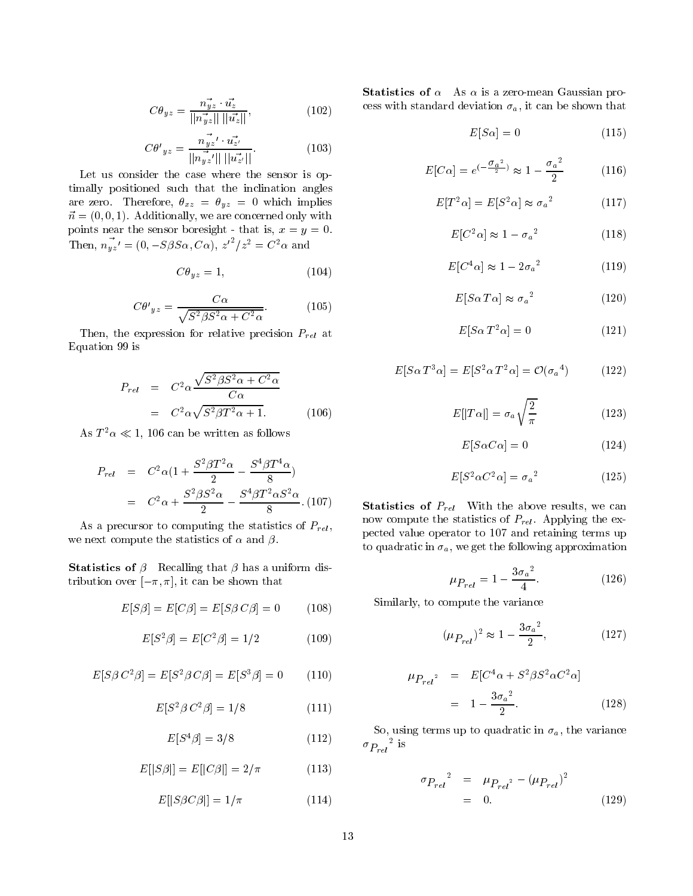$$
C\theta_{yz} = \frac{n_{yz}^2 \cdot u_z^2}{||n_{yz}^2|| \, ||u_z^2||},\tag{102}
$$

$$
C\theta'_{yz} = \frac{n_{yz}^2' \cdot u_{z'}^2}{||n_{yz}^2'|| \, ||u_{z'}^2||}.
$$
 (103)

Let us consider the case where the sensor is optimally positioned such that the inclination angles are zero. Therefore,  $\theta_{xz} = \theta_{yz} = 0$  which implies  $\vec{n} = (0, 0, 1)$ . Additionally, we are concerned only with points near the sensor boresight - that is,  $x = y = 0$ . Then,  $n_{yz} = (0, -S\beta S\alpha, C\alpha)$ ,  $z^{-}/z^{2} = C^{2}\alpha$  and

$$
C\theta_{yz} = 1,\t(104)
$$

$$
C\theta'_{yz} = \frac{C\alpha}{\sqrt{S^2 \beta S^2 \alpha + C^2 \alpha}}.\tag{105}
$$

Then, the expression for relative precision  $P_{rel}$  at Equation 99 is

$$
P_{rel} = C^2 \alpha \frac{\sqrt{S^2 \beta S^2 \alpha + C^2 \alpha}}{C \alpha}
$$

$$
= C^2 \alpha \sqrt{S^2 \beta T^2 \alpha + 1}.
$$
 (106)

As  $1^- \alpha \ll 1$ , 100 can be written as follows

$$
P_{rel} = C^2 \alpha (1 + \frac{S^2 \beta T^2 \alpha}{2} - \frac{S^4 \beta T^4 \alpha}{8})
$$
  
=  $C^2 \alpha + \frac{S^2 \beta S^2 \alpha}{2} - \frac{S^4 \beta T^2 \alpha S^2 \alpha}{8}$  (107)

As a precursor to computing the statistics of  $P_{rel}$ , we next compute the statistics of  $\alpha$  and  $\beta$ .

**Statistics of**  $\beta$  Recalling that  $\beta$  has a uniform distribution over  $[-\pi, \pi]$ , it can be shown that

$$
E[S\beta] = E[C\beta] = E[S\beta C\beta] = 0 \tag{108}
$$

$$
E[S^2 \beta] = E[C^2 \beta] = 1/2 \tag{109}
$$

$$
E[S\beta C^2\beta] = E[S^2\beta C\beta] = E[S^3\beta] = 0 \qquad (110)
$$

$$
E[S^2 \beta C^2 \beta] = 1/8 \tag{111}
$$

$$
E[S^4 \beta] = 3/8 \tag{112}
$$

$$
E[|S\beta|] = E[|C\beta|] = 2/\pi \tag{113}
$$

$$
E[|S\beta C\beta|] = 1/\pi \tag{114}
$$

Statistics of  $\alpha$  As  $\alpha$  is a zero-mean Gaussian process with standard deviation  $\sigma_a$ , it can be shown that

$$
E[S\alpha] = 0 \tag{115}
$$

$$
E[C\alpha] = e^{(-\frac{\sigma_a^2}{2})} \approx 1 - \frac{\sigma_a^2}{2}
$$
 (116)

$$
E[T^2\alpha] = E[S^2\alpha] \approx {\sigma_a}^2 \tag{117}
$$

$$
E[C^2\alpha] \approx 1 - {\sigma_a}^2 \tag{118}
$$

$$
E[C^4\alpha] \approx 1 - 2{\sigma_a}^2 \tag{119}
$$

$$
E[S\alpha T\alpha] \approx {\sigma_a}^2 \tag{120}
$$

$$
E[S\alpha T^2\alpha] = 0 \tag{121}
$$

$$
E[S\alpha T^3\alpha] = E[S^2\alpha T^2\alpha] = \mathcal{O}(\sigma_a{}^4)
$$
 (122)

$$
E[|T\alpha|] = \sigma_a \sqrt{\frac{2}{\pi}} \tag{123}
$$

$$
E[S\alpha C\alpha] = 0 \tag{124}
$$

$$
E[S^2 \alpha C^2 \alpha] = {\sigma_a}^2 \tag{125}
$$

**Statistics of**  $P_{rel}$  With the above results, we can now compute the statistics of  $P_{rel}$ . Applying the expected value operator to 107 and retaining terms up to quadratic in  $\sigma_a$ , we get the following approximation

$$
\mu_{P_{rel}} = 1 - \frac{3{\sigma_a}^2}{4}.
$$
\n(126)

Similarly, to compute the variance

$$
(\mu_{P_{rel}})^2 \approx 1 - \frac{3{\sigma_a}^2}{2}, \qquad (127)
$$

$$
\mu_{P_{rel}}^2 = E[C^4 \alpha + S^2 \beta S^2 \alpha C^2 \alpha]
$$
  
=  $1 - \frac{3\sigma_a^2}{2}$ . (128)

So, using terms up to quadratic in  $\sigma_a$ , the variance  ${}^{\sigma}P_{rel}$  is

$$
\sigma_{P_{rel}}^2 = \mu_{P_{rel}^2} - (\mu_{P_{rel}})^2
$$
  
= 0. (129)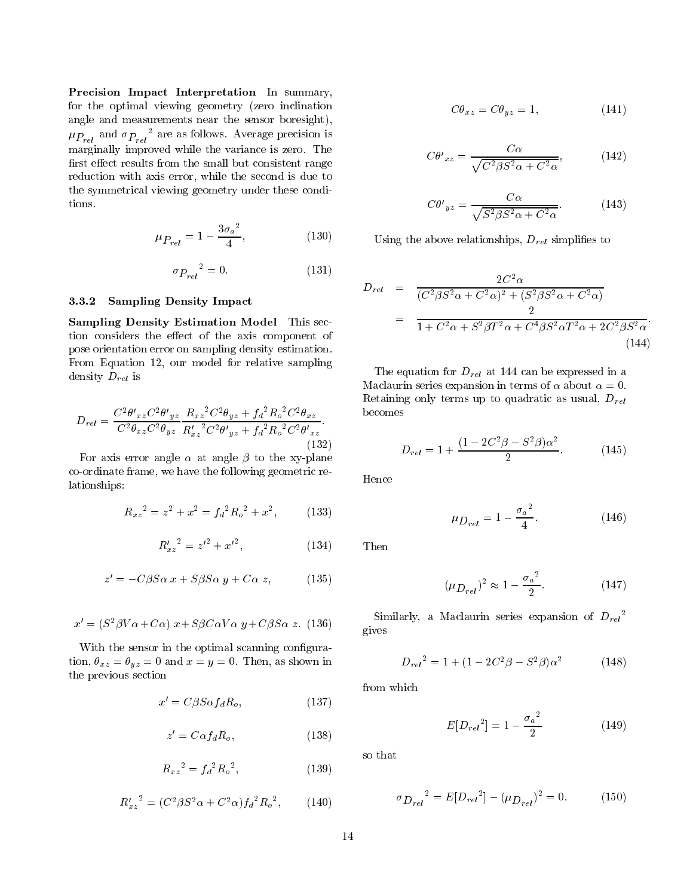Precision Impact Interpretation In summary, for the optimal viewing geometry (zero inclination angle and measurements near the sensor boresight),  $\mu_{P_{rel}}$  and  $\sigma_{P_{rel}}$  are as follows. Average precision is marginally improved while the variance is zero. The first effect results from the small but consistent range reduction with axis error, while the second is due to the symmetrical viewing geometry under these conditions.

$$
\mu_{P_{rel}} = 1 - \frac{3\sigma_a{}^2}{4},\tag{130}
$$

$$
\sigma_{P_{rel}}^2 = 0. \tag{131}
$$

#### 3.3.2Sampling Density Impact

Sampling Density Estimation Model This section considers the effect of the axis component of pose orientation error on sampling density estimation. From Equation 12, our model for relative sampling density  $D_{rel}$  is

$$
D_{rel} = \frac{C^2 \theta'_{xz} C^2 \theta'_{yz}}{C^2 \theta_{xz} C^2 \theta_{yz}} \frac{R_{xz}{}^2 C^2 \theta_{yz} + f_d{}^2 R_o{}^2 C^2 \theta_{xz}}{R'_{xz}{}^2 C^2 \theta'_{yz} + f_d{}^2 R_o{}^2 C^2 \theta'_{xz}}.
$$
\n(132)

For axis error angle  $\alpha$  at angle  $\beta$  to the xy-plane co-ordinate frame, we have the following geometric relationships:

$$
R_{xz}^2 = z^2 + x^2 = f_d^2 R_o^2 + x^2, \qquad (133)
$$

$$
{R'_x}_z^2 = {z'}^2 + {x'}^2, \t\t(134)
$$

$$
z' = -C\beta S\alpha \; x + S\beta S\alpha \; y + C\alpha \; z,\tag{135}
$$

$$
x' = (S^2 \beta V \alpha + C \alpha) x + S \beta C \alpha V \alpha y + C \beta S \alpha z.
$$
 (136)

With the sensor in the optimal scanning configuration,  $\theta_{xz} = \theta_{yz} = 0$  and  $x = y = 0$ . Then, as shown in the previous section

$$
x' = C\beta S \alpha f_d R_o, \qquad (137)
$$

$$
z' = C\alpha f_d R_o, \qquad (138)
$$

$$
R_{xz}{}^2 = f_d{}^2 R_o{}^2,\tag{139}
$$

$$
{R'_x}_2^2 = (C^2 \beta S^2 \alpha + C^2 \alpha) f_d^2 R_o^2, \qquad (140)
$$

$$
C\theta_{xz} = C\theta_{yz} = 1, \tag{141}
$$

$$
C\theta'_{xz} = \frac{C\alpha}{\sqrt{C^2 \beta S^2 \alpha + C^2 \alpha}},\tag{142}
$$

$$
C\theta'_{yz} = \frac{C\alpha}{\sqrt{S^2 \beta S^2 \alpha + C^2 \alpha}}.
$$
 (143)

Using the above relationships,  $D_{rel}$  simplifies to

$$
D_{rel} = \frac{2C^2 \alpha}{(C^2 \beta S^2 \alpha + C^2 \alpha)^2 + (S^2 \beta S^2 \alpha + C^2 \alpha)}
$$
  
= 
$$
\frac{2}{1 + C^2 \alpha + S^2 \beta T^2 \alpha + C^4 \beta S^2 \alpha T^2 \alpha + 2C^2 \beta S^2 \alpha}.
$$
(144)

The equation for  $D_{rel}$  at 144 can be expressed in a Maclaurin series expansion in terms of  $\alpha$  about  $\alpha = 0$ . Retaining only terms up to quadratic as usual,  $D_{rel}$ becomes

$$
D_{rel} = 1 + \frac{(1 - 2C^2 \beta - S^2 \beta)\alpha^2}{2}.
$$
 (145)

Hence

$$
\mu_{D_{rel}} = 1 - \frac{{\sigma_a}^2}{4}.
$$
\n(146)

Then

$$
(\mu_{D_{rel}})^2 \approx 1 - \frac{{\sigma_a}^2}{2}.
$$
 (147)

Similarly, a Maclaurin series expansion of  $D_{rel}^$ gives

$$
D_{rel}^2 = 1 + (1 - 2C^2 \beta - S^2 \beta) \alpha^2 \tag{148}
$$

from which

$$
E[D_{rel}^2] = 1 - \frac{{\sigma_a}^2}{2} \tag{149}
$$

so that

$$
\sigma_{D_{rel}}^2 = E[D_{rel}^2 - (\mu_{D_{rel}})^2 = 0. \tag{150}
$$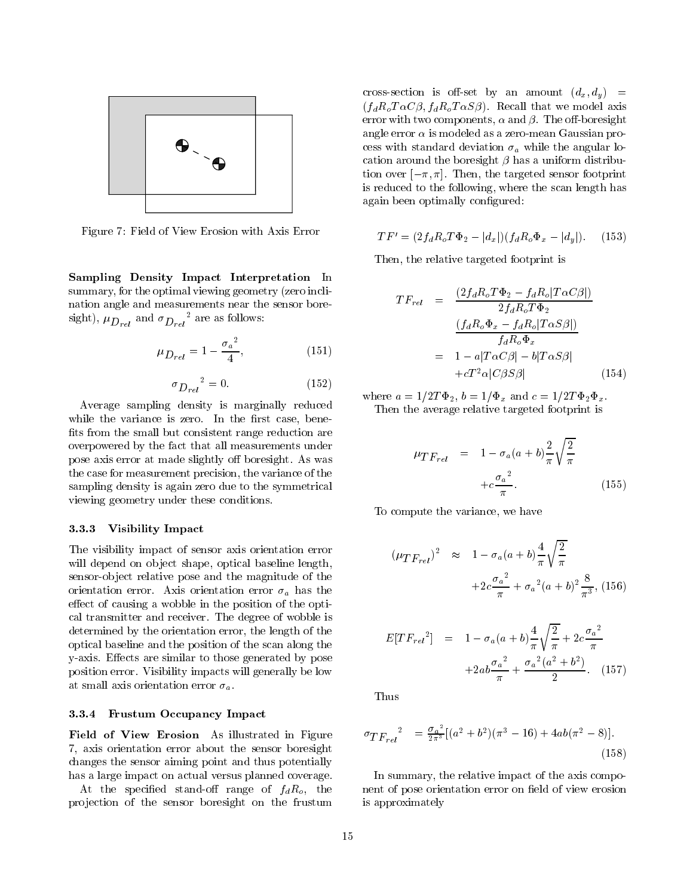

Figure 7: Field of View Erosion with Axis Error

Sampling Density Impact Interpretation In summary, for the optimal viewing geometry (zero inclination angle and measurements near the sensor boresignt),  $\mu_{D_{rel}}$  and  $\sigma_{D_{rel}}$  are as follows:

$$
\mu_{D_{rel}} = 1 - \frac{{\sigma_a}^2}{4},\tag{151}
$$

$$
\sigma_{D_{rel}}^2 = 0. \tag{152}
$$

Average sampling density is marginally reduced while the variance is zero. In the first case, benefits from the small but consistent range reduction are overpowered by the fact that all measurements under pose axis error at made slightly off boresight. As was the case for measurement precision, the variance of the sampling density is again zero due to the symmetrical viewing geometry under these conditions.

#### 3.3.3Visibility Impact

The visibility impact of sensor axis orientation error will depend on object shape, optical baseline length, sensor-ob ject relative pose and the magnitude of the orientation error. Axis orientation error  $\sigma_a$  has the effect of causing a wobble in the position of the optical transmitter and receiver. The degree of wobble is determined by the orientation error, the length of the optical baseline and the position of the scan along the y-axis. Effects are similar to those generated by pose position error. Visibility impacts will generally be low at small axis orientation error  $\sigma_a$ .

#### 3.3.4Frustum Occupancy Impact

Field of View Erosion As illustrated in Figure 7, axis orientation error about the sensor boresight changes the sensor aiming point and thus potentially has a large impact on actual versus planned coverage.

At the specified stand-off range of  $f_dR_o$ , the pro jection of the sensor boresight on the frustum

cross-section is off-set by an amount  $(d_x, d_y)$  =  $(f_d R_o T \alpha C \beta, f_d R_o T \alpha S \beta)$ . Recall that we model axis error with two components,  $\alpha$  and  $\beta$ . The off-boresight angle error  $\alpha$  is modeled as a zero-mean Gaussian process with standard deviation  $\sigma_a$  while the angular location around the boresight  $\beta$  has a uniform distribution over  $[-\pi, \pi]$ . Then, the targeted sensor footprint is reduced to the following, where the scan length has again been optimally configured:

$$
TF' = (2f_d R_o T \Phi_2 - |d_x|)(f_d R_o \Phi_x - |d_y|). \tag{153}
$$

Then, the relative targeted footprint is

$$
TF_{rel} = \frac{(2f_dR_oT\Phi_2 - f_dR_o|T\alpha C\beta|)}{2f_dR_oT\Phi_2}
$$

$$
= \frac{(f_dR_o\Phi_x - f_dR_o|T\alpha S\beta|)}{f_dR_o\Phi_x}
$$

$$
= 1 - a|T\alpha C\beta| - b|T\alpha S\beta|
$$

$$
+ cT^2\alpha|C\beta S\beta| \qquad (154)
$$

where  $a = 1/2T\Phi_2$ ,  $b = 1/\Phi_x$  and  $c = 1/2T\Phi_2\Phi_x$ . Then the average relative targeted footprint is

$$
\mu_{TF_{rel}} = 1 - \sigma_a (a+b) \frac{2}{\pi} \sqrt{\frac{2}{\pi}}
$$

$$
+ c \frac{\sigma_a^2}{\pi}.
$$
 (155)

To compute the variance, we have

$$
(\mu_{TF_{rel}})^2 \approx 1 - \sigma_a (a+b) \frac{4}{\pi} \sqrt{\frac{2}{\pi}}
$$

$$
+ 2c \frac{\sigma_a^2}{\pi} + \sigma_a^2 (a+b)^2 \frac{8}{\pi^3}, (156)
$$

$$
E[TF_{rel}^2] = 1 - \sigma_a (a+b) \frac{4}{\pi} \sqrt{\frac{2}{\pi}} + 2c \frac{{\sigma_a}^2}{\pi} + 2a b \frac{{\sigma_a}^2}{\pi} + \frac{{\sigma_a}^2 (a^2 + b^2)}{2}.
$$
 (157)

Thus

$$
\sigma_{TF_{rel}}^2 = \frac{\sigma_a^2}{2\pi^3} [(a^2 + b^2)(\pi^3 - 16) + 4ab(\pi^2 - 8)].
$$
\n(158)

In summary, the relative impact of the axis component of pose orientation error on field of view erosion is approximately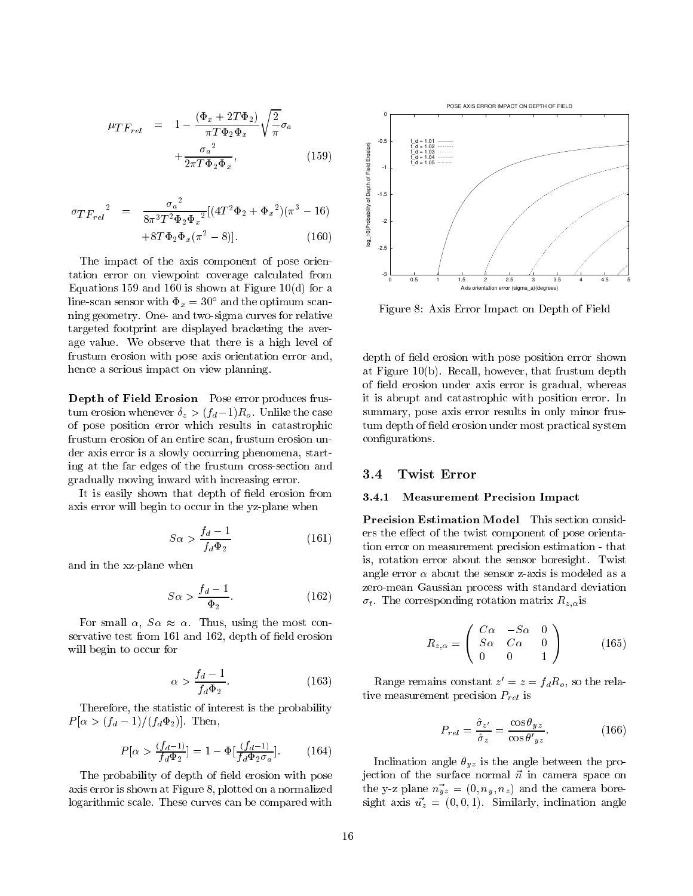$$
\mu_{TF_{rel}} = 1 - \frac{(\Phi_x + 2T\Phi_2)}{\pi T \Phi_2 \Phi_x} \sqrt{\frac{2}{\pi}} \sigma_a
$$

$$
+ \frac{\sigma_a^2}{2\pi T \Phi_2 \Phi_x}, \qquad (159)
$$

$$
\sigma_{TF_{rel}}^2 = \frac{\sigma_a^2}{8\pi^3 T^2 \Phi_2 \Phi_x^2} [(4T^2 \Phi_2 + \Phi_x^2)(\pi^3 - 16) + 8T \Phi_2 \Phi_x (\pi^2 - 8)].
$$
\n(160)

The impact of the axis component of pose orientation error on viewpoint coverage calculated from Equations 159 and 160 is shown at Figure  $10(d)$  for a  $\lim_{x \to 0}$  sensor with  $\Psi_x = 30$  and the optimum scanning geometry. One- and two-sigma curves for relative targeted footprint are displayed bracketing the average value. We observe that there is a high level of frustum erosion with pose axis orientation error and, hence a serious impact on view planning.

Depth of Field Erosion Pose error produces frustum erosion whenever  $\delta_z > (f_d-1)R_o$ . Unlike the case of pose position error which results in catastrophic frustum erosion of an entire scan, frustum erosion under axis error is a slowly occurring phenomena, starting at the far edges of the frustum cross-section and gradually moving inward with increasing error.

It is easily shown that depth of field erosion from axis error will begin to occur in the yz-plane when

$$
S\alpha > \frac{f_d - 1}{f_d \Phi_2} \tag{161}
$$

and in the xz-plane when

$$
S\alpha > \frac{f_d - 1}{\Phi_2}.\tag{162}
$$

For small  $\alpha$ ,  $S\alpha \approx \alpha$ . Thus, using the most conservative test from 161 and 162, depth of field erosion will begin to occur for

$$
\alpha > \frac{f_d - 1}{f_d \Phi_2}.\tag{163}
$$

Therefore, the statistic of interest is the probability  $P[\alpha > (f_d - 1)/(f_d\Phi_2)].$  Then,

$$
P[\alpha > \frac{(f_d - 1)}{f_d \Phi_2}] = 1 - \Phi[\frac{(f_d - 1)}{f_d \Phi_2 \sigma_a}].
$$
 (164)

The probability of depth of field erosion with pose axis error is shown at Figure 8, plotted on a normalized logarithmic scale. These curves can be compared with



Figure 8: Axis Error Impact on Depth of Field

depth of field erosion with pose position error shown at Figure 10(b). Recall, however, that frustum depth of field erosion under axis error is gradual, whereas it is abrupt and catastrophic with position error. In summary, pose axis error results in only minor frustum depth of field erosion under most practical system configurations.

### 3.4.1 Measurement Precision Impact

Precision Estimation Model This section considers the effect of the twist component of pose orientation error on measurement precision estimation - that is, rotation error about the sensor boresight. Twist angle error  $\alpha$  about the sensor z-axis is modeled as a zero-mean Gaussian process with standard deviation  $\sigma_t$ . The corresponding rotation matrix  $R_{z,\alpha}$  is

$$
R_{z,\alpha} = \begin{pmatrix} C\alpha & -S\alpha & 0 \\ S\alpha & C\alpha & 0 \\ 0 & 0 & 1 \end{pmatrix}
$$
 (165)

Range remains constant  $z = z = f_dR_o$ , so the relative measurement precision  $P_{rel}$  is

$$
P_{rel} = \frac{\hat{\sigma}_{z'}}{\hat{\sigma}_z} = \frac{\cos \theta_{yz}}{\cos \theta'_{yz}}.
$$
 (166)

Inclination angle  $\theta_{yz}$  is the angle between the projection of the surface normal  $\vec{n}$  in camera space on the y-z plane  $n_{yz}^{\rightarrow} = (0, n_y, n_z)$  and the camera boresight axis  $\vec{u}_z = (0, 0, 1)$ . Similarly, inclination angle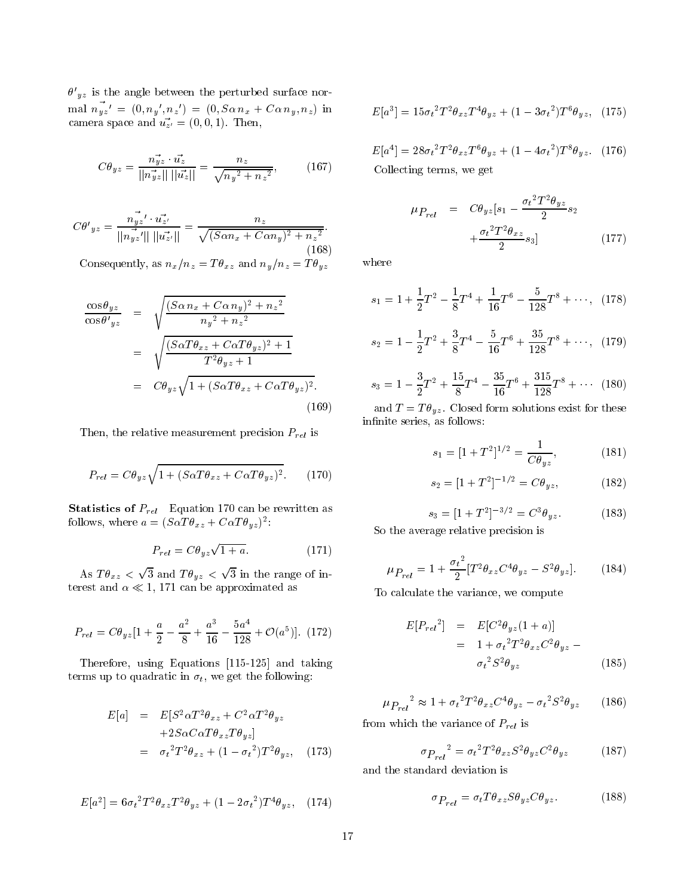$\sigma$   $_{uz}$  is the angle between the perturbed surface nor- $\lim_{u \to u} n_{yz} = (0, n_y, n_z) = (0, S\alpha n_x + C\alpha n_y, n_z)$  in camera space and  $u_{z'} = (0, 0, 1)$ . Then,

$$
C\theta_{yz} = \frac{n_{yz}^2 \cdot u_z^2}{||n_{yz}^2|| \, ||u_z^*||} = \frac{n_z}{\sqrt{n_y^2 + n_z^2}},\qquad(167)
$$

$$
C\theta'_{yz} = \frac{n_{yz}^2 \cdot u_{z'}^2}{||n_{yz}^2|| \, ||u_{z'}^2||} = \frac{n_z}{\sqrt{(S\alpha n_x + C\alpha n_y)^2 + n_z^2}}.
$$
\n(168)

Consequently, as  $n_x/n_z = T \theta_{xz}$  and  $n_y/n_z = T \theta_{yz}$ 

$$
\frac{\cos \theta_{yz}}{\cos \theta'_{yz}} = \sqrt{\frac{(S\alpha n_x + C\alpha n_y)^2 + n_z^2}{n_y^2 + n_z^2}}
$$

$$
= \sqrt{\frac{(S\alpha T\theta_{xz} + C\alpha T\theta_{yz})^2 + 1}{T^2\theta_{yz} + 1}}
$$

$$
= C\theta_{yz}\sqrt{1 + (S\alpha T\theta_{xz} + C\alpha T\theta_{yz})^2}.
$$
(169)

Then, the relative measurement precision  $P_{rel}$  is

$$
P_{rel} = C\theta_{yz}\sqrt{1 + (S\alpha T\theta_{xz} + C\alpha T\theta_{yz})^2}.
$$
 (170)

**Statistics of**  $P_{rel}$  Equation 170 can be rewritten as follows, where  $a = (\partial \alpha I \sigma_{xz} + \partial \alpha I \sigma_{yz})$ :

$$
P_{rel} = C\theta_{yz}\sqrt{1+a}.\tag{171}
$$

--- - *- - -* provided and the con- $\sim$   $\sim$   $\sim$   $\sim$   $\sim$   $\sim$ provide a state of the state of the state of the state of the state of the state of the state of the state of the state of the state of the state of the state of the state of the state of the state of the state of the stat 3 in the range of  $\sim$ terest and  $\alpha \ll 1$ , 171 can be approximated as

$$
P_{rel} = C\theta_{yz}[1 + \frac{a}{2} - \frac{a^2}{8} + \frac{a^3}{16} - \frac{5a^4}{128} + \mathcal{O}(a^5)].
$$
 (172)

Therefore, using Equations [115-125] and taking terms up to quadratic in  $\sigma_t$ , we get the following:

$$
E[a] = E[S^2 \alpha T^2 \theta_{xz} + C^2 \alpha T^2 \theta_{yz}
$$
  
+2S\alpha C\alpha T\theta\_{xz}T\theta\_{yz}]  
= \sigma\_t^2 T^2 \theta\_{xz} + (1 - \sigma\_t^2)T^2 \theta\_{yz}, (173)

$$
E[a^2] = 6\sigma_t^2 T^2 \theta_{xz} T^2 \theta_{yz} + (1 - 2\sigma_t^2) T^4 \theta_{yz}, \quad (174)
$$

$$
E[a^{3}] = 15\sigma_{t}^{2}T^{2}\theta_{xz}T^{4}\theta_{yz} + (1 - 3\sigma_{t}^{2})T^{6}\theta_{yz}, \quad (175)
$$

$$
E[a4] = 28\sigma_t^2 T^2 \theta_{xz} T^6 \theta_{yz} + (1 - 4\sigma_t^2) T^8 \theta_{yz}.
$$
 (176)   
Collecting terms, we get

Collecting terms, we get

$$
\mu_{P_{rel}} = C\theta_{yz}[s_1 - \frac{\sigma_t^2 T^2 \theta_{yz}}{2} s_2 + \frac{\sigma_t^2 T^2 \theta_{xz}}{2} s_3]
$$
\n(177)

where

$$
s_1 = 1 + \frac{1}{2}T^2 - \frac{1}{8}T^4 + \frac{1}{16}T^6 - \frac{5}{128}T^8 + \cdots, \quad (178)
$$

$$
s_2 = 1 - \frac{1}{2}T^2 + \frac{3}{8}T^4 - \frac{5}{16}T^6 + \frac{35}{128}T^8 + \cdots, \quad (179)
$$

$$
s_3 = 1 - \frac{3}{2}T^2 + \frac{15}{8}T^4 - \frac{35}{16}T^6 + \frac{315}{128}T^8 + \cdots (180)
$$

and  $T = T\theta_{yz}$ . Closed form solutions exist for these infinite series, as follows:

$$
s_1 = [1 + T^2]^{1/2} = \frac{1}{C\theta_{yz}},\tag{181}
$$

$$
s_2 = [1 + T^2]^{-1/2} = C\theta_{yz},\tag{182}
$$

$$
s_3 = [1 + T^2]^{-3/2} = C^3 \theta_{yz}.
$$
 (183)

So the average relative precision is

$$
\mu_{P_{rel}} = 1 + \frac{{\sigma_t}^2}{2} [T^2 \theta_{xz} C^4 \theta_{yz} - S^2 \theta_{yz}].
$$
 (184)

To calculate the variance, we compute

$$
E[P_{rel}^2] = E[C^2 \theta_{yz} (1+a)]
$$
  
= 1 +  $\sigma_t^2 T^2 \theta_{xz} C^2 \theta_{yz}$  –  

$$
\sigma_t^2 S^2 \theta_{yz}
$$
 (185)

$$
\mu_{P_{rel}}^2 \approx 1 + \sigma_t^2 T^2 \theta_{xz} C^4 \theta_{yz} - \sigma_t^2 S^2 \theta_{yz}
$$
 (186)

from which the variance of  $P_{rel}$  is

$$
\sigma_{P_{rel}}^2 = \sigma_t^2 T^2 \theta_{xz} S^2 \theta_{yz} C^2 \theta_{yz}
$$
 (187)

and the standard deviation is

$$
\sigma_{P_{rel}} = \sigma_t T \theta_{xz} S \theta_{yz} C \theta_{yz}.
$$
 (188)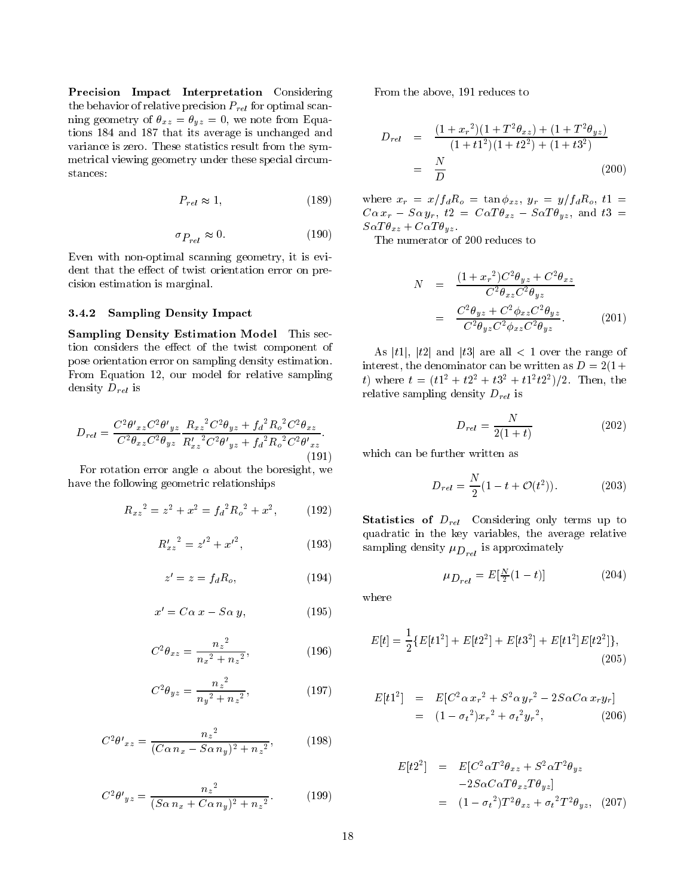Precision Impact Interpretation Considering the behavior of relative precision  $P_{rel}$  for optimal scanning geometry of  $\theta_{xz} = \theta_{yz} = 0$ , we note from Equations 184 and 187 that its average is unchanged and variance is zero. These statistics result from the symmetrical viewing geometry under these special circumstances:

$$
P_{rel} \approx 1,\tag{189}
$$

$$
\sigma_{P_{rel}} \approx 0. \tag{190}
$$

Even with non-optimal scanning geometry, it is evident that the effect of twist orientation error on precision estimation is marginal.

#### 3.4.2Sampling Density Impact

sampling Density Estimation Model This second Density and Density and Density and Density and Density and Density tion considers the effect of the twist component of pose orientation error on sampling density estimation. From Equation 12, our model for relative sampling density  $D_{rel}$  is

$$
D_{rel} = \frac{C^2 \theta'_{xz} C^2 \theta'_{yz}}{C^2 \theta_{xz} C^2 \theta_{yz}} \frac{R_{xz}{}^2 C^2 \theta_{yz} + f_d{}^2 R_o{}^2 C^2 \theta_{xz}}{R'_{xz}{}^2 C^2 \theta'_{yz} + f_d{}^2 R_o{}^2 C^2 \theta'_{xz}}.
$$
\n(191)

For rotation error angle  $\alpha$  about the boresight, we have the following geometric relationships

$$
R_{xz}^2 = z^2 + x^2 = f_d^2 R_o^2 + x^2, \qquad (192)
$$

$$
{R'_{xz}}^2 = {z'}^2 + {x'}^2, \t\t(193)
$$

$$
z' = z = f_d R_o, \t\t(194)
$$

$$
x' = C\alpha \ x - S\alpha \ y,\tag{195}
$$

$$
C^2 \theta_{xz} = \frac{n_z^2}{n_x^2 + n_z^2},\tag{196}
$$

$$
C^2 \theta_{yz} = \frac{n_z^2}{n_y^2 + n_z^2},\tag{197}
$$

$$
C^2 \theta'_{xz} = \frac{n_z^2}{(C\alpha n_x - S\alpha n_y)^2 + n_z^2},
$$
 (198)

$$
C^2 \theta'_{yz} = \frac{n_z^2}{(S\alpha n_x + C\alpha n_y)^2 + n_z^2}.
$$
 (199)

From the above, 191 reduces to

$$
D_{rel} = \frac{(1+x_r^2)(1+T^2\theta_{xz}) + (1+T^2\theta_{yz})}{(1+t^2)(1+t^2^2) + (1+t^2^2)}
$$
  
=  $\frac{N}{D}$  (200)

where  $x_r = x/f_dR_o = \tan \phi_{xz}, y_r = y/f_dR_o, t1$  $C\alpha x_r - S\alpha y_r$ ,  $t2 = C\alpha T\theta_{xz} - S\alpha T\theta_{yz}$ , and  $t3 =$  $S\alpha T\theta_{xz} + C\alpha T\theta_{yz}$ .

The numerator of 200 reduces to

$$
N = \frac{(1+x_r^2)C^2\theta_{yz} + C^2\theta_{xz}}{C^2\theta_{xz}C^2\theta_{yz}}
$$

$$
= \frac{C^2\theta_{yz} + C^2\phi_{xz}C^2\theta_{yz}}{C^2\theta_{yz}C^2\phi_{xz}C^2\theta_{yz}}.
$$
(201)

As |t1|,  $|t2|$  and  $|t3|$  are all  $\lt 1$  over the range of interest, the denominator can be written as  $D = 2(1 +$ t) where  $t = (t_1^2 + t_2^2 + t_3^2 + t_1^2 t_2^2)/2$ . Then, the relative sampling density  $D_{rel}$  is

$$
D_{rel} = \frac{N}{2(1+t)}\tag{202}
$$

which can be further written as

$$
D_{rel} = \frac{N}{2}(1 - t + \mathcal{O}(t^2)).
$$
 (203)

Statistics of Drel Considering only terms up to quadratic in the key variables, the average relative  $\mathbf{r}$  is approximately density  $\mathbf{r}$ 

$$
\mu_{D_{rel}} = E[\frac{N}{2}(1-t)] \tag{204}
$$

where

$$
E[t] = \frac{1}{2} \{ E[t1^2] + E[t2^2] + E[t3^2] + E[t1^2]E[t2^2] \},
$$
\n(205)

$$
E[t12] = E[C2 \alpha xr2 + S2 \alpha yr2 - 2S\alpha C\alpha xryr]
$$
  
= (1 -  $\sigma_t^2$ ) $x_r^2 + \sigma_t^2 y_r^2$ , (206)

$$
E[t22] = E[C2 \alpha T2 \theta_{xz} + S2 \alpha T2 \theta_{yz}-2S\alpha C \alpha T \theta_{xz} T \theta_{yz}]
$$
  
=  $(1 - \sigma_t^2)T^2 \theta_{xz} + \sigma_t^2 T^2 \theta_{yz},$  (207)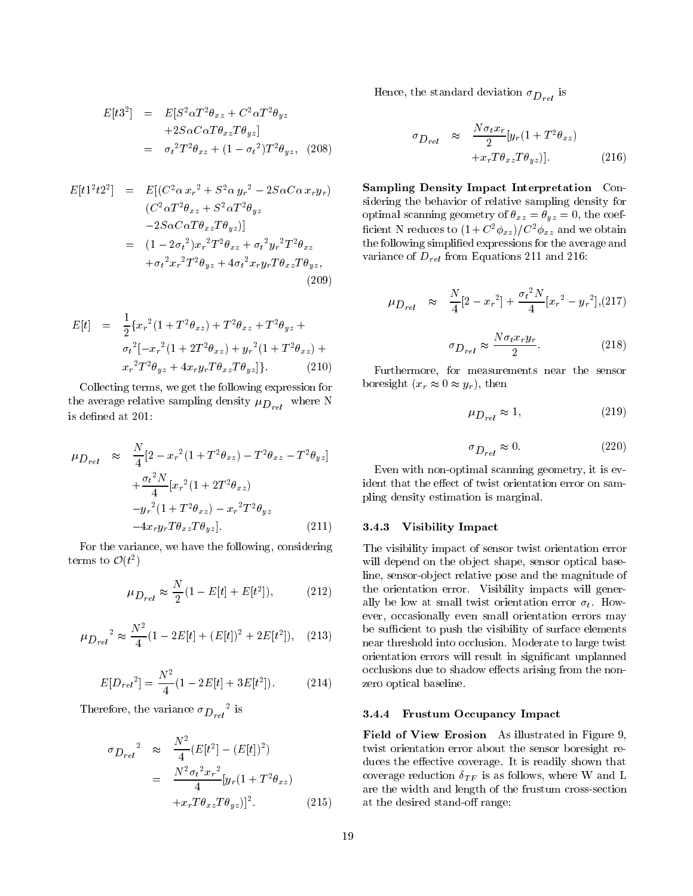$$
E[t32] = E[S2 \alpha T2 \theta_{xz} + C2 \alpha T2 \theta_{yz}+2S \alpha C \alpha T \theta_{xz} T \theta_{yz}]
$$
  
=  $\sigma_t^2 T^2 \theta_{xz} + (1 - \sigma_t^2) T^2 \theta_{yz},$  (208)

$$
E[t12t22] = E[(C2\alpha xr2 + S2\alpha yr2 - 2S\alpha C\alpha xryr)
$$
  
\n(C<sup>2</sup>\alpha T<sup>2</sup>θ<sub>xz</sub> + S<sup>2</sup>\alpha T<sup>2</sup>θ<sub>yz</sub>  
\n-2S\alpha C\alpha Tθ<sub>xz</sub>Tθ<sub>yz</sub>)]  
\n= (1 - 2σ<sub>t</sub><sup>2</sup>)x<sub>r</sub><sup>2</sup>T<sup>2</sup>θ<sub>xz</sub> + σ<sub>t</sub><sup>2</sup>y<sub>r</sub><sup>2</sup>T<sup>2</sup>θ<sub>xz</sub>  
\n+σ<sub>t</sub><sup>2</sup>x<sub>r</sub><sup>2</sup>T<sup>2</sup>θ<sub>yz</sub> + 4σ<sub>t</sub><sup>2</sup>x<sub>r</sub>y<sub>r</sub>Tθ<sub>xz</sub>Tθ<sub>yz</sub>, (209)

$$
E[t] = \frac{1}{2} \{ x_r^2 (1 + T^2 \theta_{xz}) + T^2 \theta_{xz} + T^2 \theta_{yz} + \sigma_t^2 [-x_r^2 (1 + 2T^2 \theta_{xz}) + y_r^2 (1 + T^2 \theta_{xz}) + \sigma_t^2 T^2 \theta_{yz} + 4x_r y_r T \theta_{xz} T \theta_{yz}] \}.
$$
 (210)

Collecting terms, we get the following expression for the average relative sampling density  $\mu_{D_{rel}}$  where N is defined at 201:

$$
\mu_{D_{rel}} \approx \frac{N}{4} [2 - x_r^2 (1 + T^2 \theta_{xz}) - T^2 \theta_{xz} - T^2 \theta_{yz}] \n+ \frac{\sigma_t^2 N}{4} [x_r^2 (1 + 2T^2 \theta_{xz}) \n- y_r^2 (1 + T^2 \theta_{xz}) - x_r^2 T^2 \theta_{yz} \n- 4x_r y_r T \theta_{xz} T \theta_{yz}].
$$
\n(211)

For the variance, we have the following, considering terms to  $\mathcal{O}(t^2)$ 

$$
\mu_{D_{rel}} \approx \frac{N}{2} (1 - E[t] + E[t^2]), \tag{212}
$$

$$
\mu_{D_{rel}}^2 \approx \frac{N^2}{4} (1 - 2E[t] + (E[t])^2 + 2E[t^2]), \quad (213)
$$

$$
E[D_{rel}^2] = \frac{N^2}{4}(1 - 2E[t] + 3E[t^2]).
$$
 (214)

**T** herefore, the variance  $\sigma_{D_{rel}}$  is

$$
\sigma_{D_{rel}}^2 \approx \frac{N^2}{4} (E[t^2] - (E[t])^2)
$$
  
= 
$$
\frac{N^2 \sigma_t^2 x_r^2}{4} [y_r (1 + T^2 \theta_{xz}) + x_r T \theta_{xz} T \theta_{yz}]^2.
$$
 (215)

Hence, the standard deviation  $\sigma_{D_{rel}}$  is

$$
\sigma_{D_{rel}} \approx \frac{N\sigma_t x_r}{2} [y_r (1 + T^2 \theta_{xz})
$$

$$
+ x_r T \theta_{xz} T \theta_{yz})]. \tag{216}
$$

Sampling Density Impact Interpretation Considering the behavior of relative sampling density for optimal scanning geometry of  $\theta_{xz} = \theta_{yz} = 0$ , the coefncient in reduces to  $(1 + C\frac{\phi_{xz}}{\phi_{xz}})/C\frac{\phi_{xz}}{\phi_{xz}}$  and we obtain the following simplied expressions for the average and variance of  $D_{rel}$  from Equations 211 and 216:

$$
\mu_{D_{rel}} \approx \frac{N}{4} [2 - x_r^2] + \frac{\sigma_t^2 N}{4} [x_r^2 - y_r^2],
$$
 (217)

$$
\sigma_{D_{rel}} \approx \frac{N \sigma_t x_r y_r}{2}.
$$
\n(218)

Furthermore, for measurements near the sensor boresight  $(x_r \approx 0 \approx y_r)$ , then

$$
\mu_{D_{rel}} \approx 1,\tag{219}
$$

$$
\sigma_{D_{rel}} \approx 0. \tag{220}
$$

Even with non-optimal scanning geometry, it is evident that the effect of twist orientation error on sampling density estimation is marginal.

### 3.4.3 Visibility Impact

The visibility impact of sensor twist orientation error will depend on the object shape, sensor optical baseline, sensor-object relative pose and the magnitude of the orientation error. Visibility impacts will generally be low at small twist orientation error  $\sigma_t$ . However, occasionally even small orientation errors may be sufficient to push the visibility of surface elements near threshold into occlusion. Moderate to large twist orientation errors will result in signicant unplanned occlusions due to shadow effects arising from the nonzero optical baseline.

### 3.4.4 Frustum Occupancy Impact 2014

Field of View Erosion As illustrated in Figure 9, twist orientation error about the sensor boresight reduces the effective coverage. It is readily shown that coverage reduction  $\delta_{TF}$  is as follows, where W and L are the width and length of the frustum cross-section at the desired stand-off range: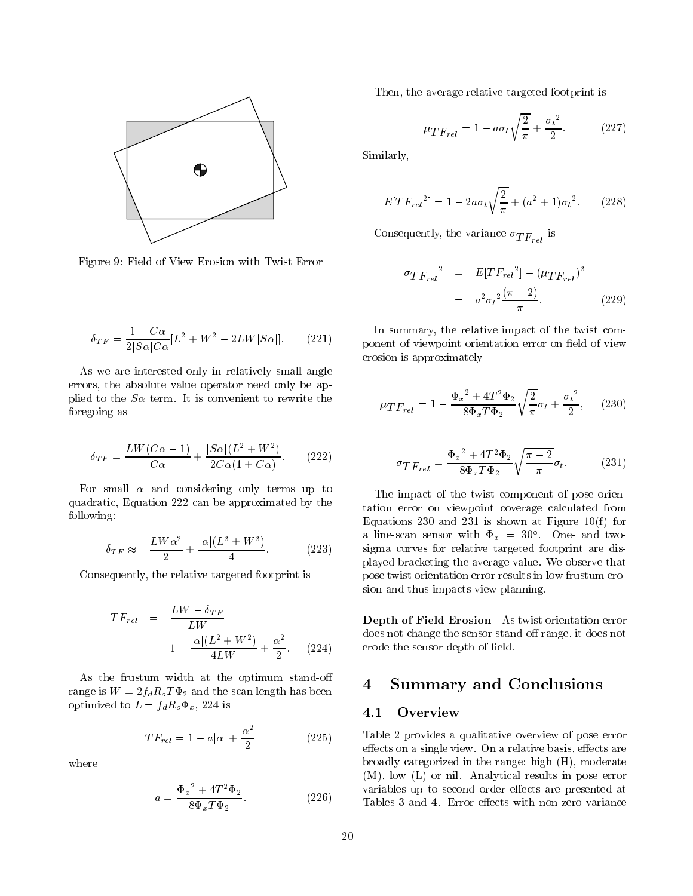

Figure 9: Field of View Erosion with Twist Error

$$
\delta_{TF} = \frac{1 - C\alpha}{2|S\alpha|C\alpha} [L^2 + W^2 - 2LW|S\alpha|]. \tag{221}
$$

As we are interested only in relatively small angle errors, the absolute value operator need only be applied to the  $S\alpha$  term. It is convenient to rewrite the foregoing as

$$
\delta_{TF} = \frac{LW(C\alpha - 1)}{C\alpha} + \frac{|S\alpha|(L^2 + W^2)}{2C\alpha(1 + C\alpha)}.\tag{222}
$$

For small  $\alpha$  and considering only terms up to quadratic, Equation 222 can be approximated by the following:

$$
\delta_{TF} \approx -\frac{LW\alpha^2}{2} + \frac{|\alpha|(L^2 + W^2)}{4}.
$$
 (223)

Consequently, the relative targeted footprint is

$$
TF_{rel} = \frac{LW - \delta_{TF}}{LW}
$$
  
= 
$$
1 - \frac{|\alpha|(L^2 + W^2)}{4LW} + \frac{\alpha^2}{2}.
$$
 (224)

As the frustum width at the optimum stand-o range is  $W = 2f_dR_oT\Phi_2$  and the scan length has been optimized to  $L = f_d R_o \Phi_x$ , 224 is

$$
TF_{rel} = 1 - a|\alpha| + \frac{\alpha^2}{2} \tag{225}
$$

where

$$
a = \frac{\Phi_x^2 + 4T^2 \Phi_2}{8\Phi_x T \Phi_2}.
$$
 (226)

Then, the average relative targeted footprint is

$$
\mu_{TF_{rel}} = 1 - a\sigma_t \sqrt{\frac{2}{\pi}} + \frac{{\sigma_t}^2}{2}.
$$
 (227)

Similarly,

$$
E[TF_{rel}^2] = 1 - 2a\sigma_t \sqrt{\frac{2}{\pi}} + (a^2 + 1)\sigma_t^2.
$$
 (228)

 $\mathcal{L}_{\text{rel}}$  is the variance  $\mathcal{L}_{\text{rel}}$  is

$$
\sigma_{TF_{rel}}^2 = E[TF_{rel}^2] - (\mu_{TF_{rel}})^2
$$
  
=  $a^2 \sigma_t^2 \frac{(\pi - 2)}{\pi}$ . (229)

In summary, the relative impact of the twist component of viewpoint orientation error on field of view erosion is approximately

$$
\mu_{TF_{rel}} = 1 - \frac{{\Phi_x}^2 + 4T^2{\Phi_2}}{8{\Phi_x}T{\Phi_2}}\sqrt{\frac{2}{\pi}}{\sigma_t} + \frac{{\sigma_t}^2}{2},\qquad(230)
$$

$$
\sigma_{TF_{rel}} = \frac{\Phi_x^2 + 4T^2 \Phi_2}{8\Phi_x T \Phi_2} \sqrt{\frac{\pi - 2}{\pi}} \sigma_t.
$$
 (231)

The impact of the twist component of pose orientation error on viewpoint coverage calculated from Equations 230 and 231 is shown at Figure 10(f) for a line-scan sensor with  $\Psi_x = 30$ . One-and twosigma curves for relative targeted footprint are displayed bracketing the average value. We observe that pose twist orientation error results in low frustum erosion and thus impacts view planning.

Depth of Field Erosion As twist orientation error does not change the sensor stand-off range, it does not erode the sensor depth of field.

## <sup>4</sup> Summary and Conclusions

### 4.1 Overview

Table 2 provides a qualitative overview of pose error effects on a single view. On a relative basis, effects are broadly categorized in the range: high (H), moderate (M), low (L) or nil. Analytical results in pose error variables up to second order effects are presented at Tables 3 and 4. Error effects with non-zero variance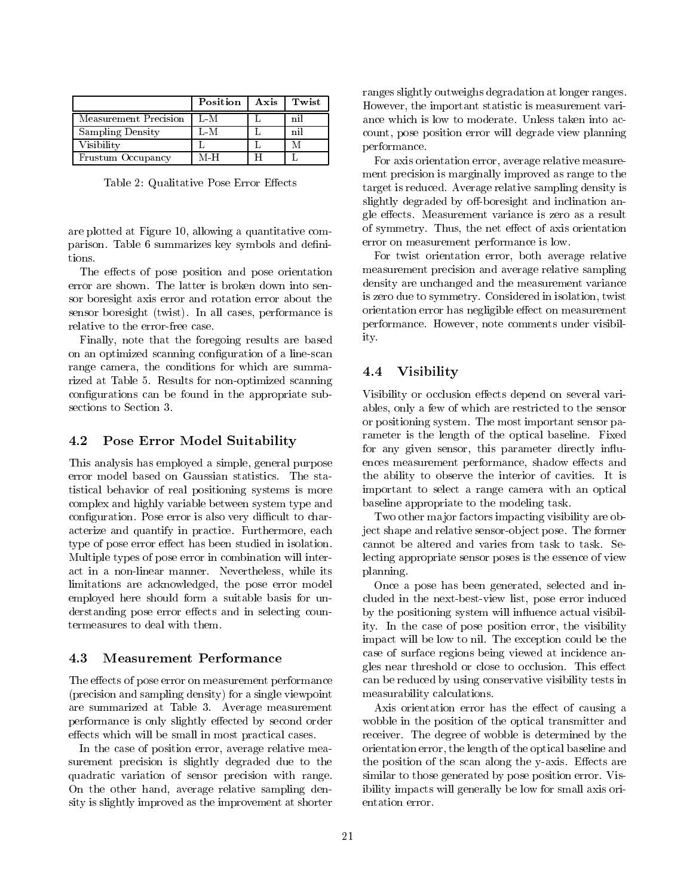|                       | Position | Axis | Twist |
|-----------------------|----------|------|-------|
| Measurement Precision | L-M      |      | nil   |
| Sampling Density      | L-M      |      | nil   |
| Visibility            |          |      |       |
| Frustum Occupancy     | M H      |      |       |

Table 2: Qualitative Pose Error Effects

are plotted at Figure 10, allowing a quantitative comparison. Table 6 summarizes key symbols and denitions.

The effects of pose position and pose orientation error are shown. The latter is broken down into sensor boresight axis error and rotation error about the sensor boresight (twist). In all cases, performance is relative to the error-free case.

Finally, note that the foregoing results are based on an optimized scanning configuration of a line-scan range camera, the conditions for which are summarized at Table 5. Results for non-optimized scanning configurations can be found in the appropriate subsections to Section 3.

## 4.2 Pose Error Model Suitability

This analysis has employed a simple, general purpose error model based on Gaussian statistics. The statistical behavior of real positioning systems is more complex and highly variable between system type and configuration. Pose error is also very difficult to characterize and quantify in practice. Furthermore, each type of pose error effect has been studied in isolation. Multiple types of pose error in combination will interact in a non-linear manner. Nevertheless, while its limitations are acknowledged, the pose error model employed here should form a suitable basis for understanding pose error effects and in selecting countermeasures to deal with them.

## 4.3 Measurement Performance

The effects of pose error on measurement performance (precision and sampling density) for a single viewpoint are summarized at Table 3. Average measurement performance is only slightly effected by second order effects which will be small in most practical cases.

In the case of position error, average relative measurement precision is slightly degraded due to the quadratic variation of sensor precision with range. On the other hand, average relative sampling density is slightly improved as the improvement at shorter ranges slightly outweighs degradation at longer ranges. However, the important statistic is measurement variance which is low to moderate. Unless taken into account, pose position error will degrade view planning performance.

For axis orientation error, average relative measurement precision is marginally improved as range to the target is reduced. Average relative sampling density is slightly degraded by off-boresight and inclination angle effects. Measurement variance is zero as a result of symmetry. Thus, the net effect of axis orientation error on measurement performance is low.

For twist orientation error, both average relative measurement precision and average relative sampling density are unchanged and the measurement variance is zero due to symmetry. Considered in isolation, twist orientation error has negligible effect on measurement performance. However, note comments under visibility.

#### 4.4 **Visibility**

Visibility or occlusion effects depend on several variables, only a few of which are restricted to the sensor or positioning system. The most important sensor parameter is the length of the optical baseline. Fixed for any given sensor, this parameter directly influences measurement performance, shadow effects and the ability to observe the interior of cavities. It is important to select a range camera with an optical baseline appropriate to the modeling task.

Two other major factors impacting visibility are object shape and relative sensor-object pose. The former cannot be altered and varies from task to task. Selecting appropriate sensor poses is the essence of view planning.

Once a pose has been generated, selected and included in the next-best-view list, pose error induced by the positioning system will in
uence actual visibility. In the case of pose position error, the visibility impact will be low to nil. The exception could be the case of surface regions being viewed at incidence angles near threshold or close to occlusion. This effect can be reduced by using conservative visibility tests in measurability calculations.

Axis orientation error has the effect of causing a wobble in the position of the optical transmitter and receiver. The degree of wobble is determined by the orientation error, the length of the optical baseline and the position of the scan along the y-axis. Effects are similar to those generated by pose position error. Visibility impacts will generally be low for small axis orientation error.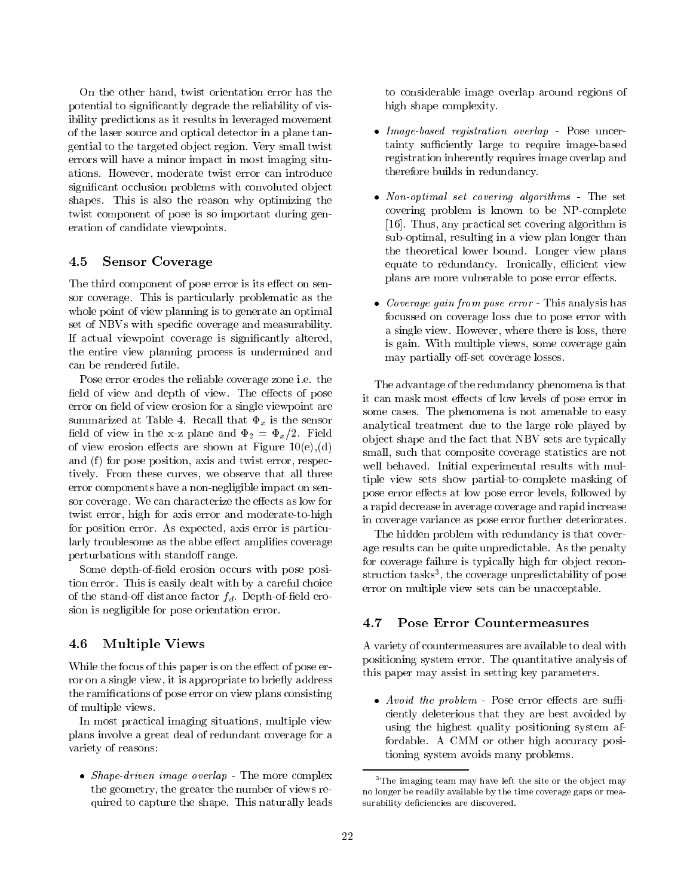On the other hand, twist orientation error has the potential to signicantly degrade the reliability of visibility predictions as it results in leveraged movement of the laser source and optical detector in a plane tangential to the targeted ob ject region. Very small twist errors will have a minor impact in most imaging situations. However, moderate twist error can introduce significant occlusion problems with convoluted object shapes. This is also the reason why optimizing the twist component of pose is so important during generation of candidate viewpoints.

#### 4.5Sensor Coverage

The third component of pose error is its effect on sensor coverage. This is particularly problematic as the whole point of view planning is to generate an optimal set of NBVs with specific coverage and measurability. If actual viewpoint coverage is signicantly altered, the entire view planning process is undermined and

Pose error erodes the reliable coverage zone i.e. the field of view and depth of view. The effects of pose error on field of view erosion for a single viewpoint are summarized at Table 4. Recall that  $\Phi_x$  is the sensor field of view in the x-z plane and  $\Phi_2 = \Phi_x/2$ . Field of view erosion effects are shown at Figure  $10(e), (d)$ and (f) for pose position, axis and twist error, respectively. From these curves, we observe that all three error components have a non-negligible impact on sensor coverage. We can characterize the effects as low for twist error, high for axis error and moderate-to-high for position error. As expected, axis error is particularly troublesome as the abbe effect amplifies coverage perturbations with standoff range.

Some depth-of-field erosion occurs with pose position error. This is easily dealt with by a careful choice of the stand-off distance factor  $f_d$ . Depth-of-field erosion is negligible for pose orientation error.

### 4.6Multiple Views

While the focus of this paper is on the effect of pose error on a single view, it is appropriate to briefly address the ramications of pose error on view plans consisting of multiple views.

In most practical imaging situations, multiple view plans involve a great deal of redundant coverage for a variety of reasons:

• Shape-driven image overlap - The more complex the geometry, the greater the number of views required to capture the shape. This naturally leads

to considerable image overlap around regions of high shape complexity.

- Image-based registration overlap Pose uncertainty sufficiently large to require image-based registration inherently requires image overlap and therefore builds in redundancy.
- Non-optimal set covering algorithms The set covering problem is known to be NP-complete [16]. Thus, any practical set covering algorithm is sub-optimal, resulting in a view plan longer than the theoretical lower bound. Longer view plans equate to redundancy. Ironically, efficient view plans are more vulnerable to pose error effects.
- Coverage gain from pose error This analysis has focussed on coverage loss due to pose error with a single view. However, where there is loss, there is gain. With multiple views, some coverage gain may partially off-set coverage losses.

The advantage of the redundancy phenomena is that it can mask most effects of low levels of pose error in some cases. The phenomena is not amenable to easy analytical treatment due to the large role played by ob ject shape and the fact that NBV sets are typically small, such that composite coverage statistics are not well behaved. Initial experimental results with multiple view sets show partial-to-complete masking of pose error effects at low pose error levels, followed by a rapid decrease in average coverage and rapid increase in coverage variance as pose error further deteriorates.

The hidden problem with redundancy is that coverage results can be quite unpredictable. As the penalty for coverage failure is typically high for object reconstruction tasks", the coverage unpredictability of pose error on multiple view sets can be unacceptable.

#### 4.7Pose Error Countermeasures

A variety of countermeasures are available to deal with positioning system error. The quantitative analysis of this paper may assist in setting key parameters.

• Avoid the problem - Pose error effects are sufficiently deleterious that they are best avoided by using the highest quality positioning system affordable. A CMM or other high accuracy positioning system avoids many problems.

the imaging team may have left the site or the object may no longer be readily available by the time coverage gaps or measurability deciencies are discovered.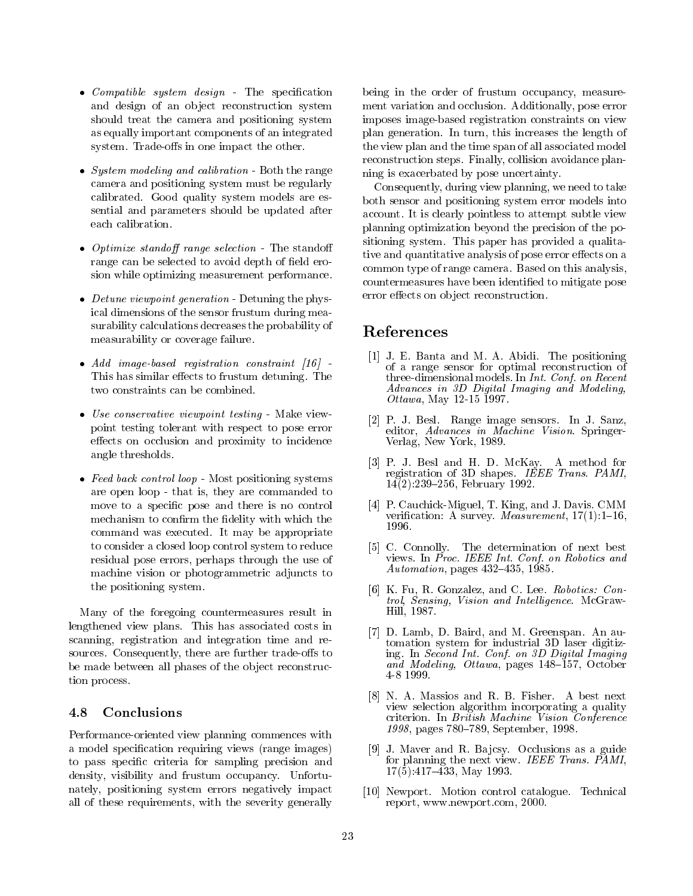- *Compatible system design* The specification and design of an object reconstruction system should treat the camera and positioning system as equally important components of an integrated system. Trade-offs in one impact the other.
- System modeling and calibration Both the range camera and positioning system must be regularly calibrated. Good quality system models are essential and parameters should be updated after each calibration.
- Optimize standoff range selection The standoff range can be selected to avoid depth of field erosion while optimizing measurement performance.
- Detune viewpoint generation Detuning the physical dimensions of the sensor frustum during measurability calculations decreases the probability of measurability or coverage failure.
- Add image-based registration constraint [16] -This has similar effects to frustum detuning. The two constraints can be combined.
- Use conservative viewpoint testing Make viewpoint testing tolerant with respect to pose error effects on occlusion and proximity to incidence angle thresholds.
- Feed back control loop Most positioning systems are open loop - that is, they are commanded to move to a specific pose and there is no control mechanism to confirm the fidelity with which the command was executed. It may be appropriate to consider a closed loop control system to reduce residual pose errors, perhaps through the use of machine vision or photogrammetric adjuncts to the positioning system.

Many of the foregoing countermeasures result in lengthened view plans. This has associated costs in scanning, registration and integration time and resources. Consequently, there are further trade-offs to be made between all phases of the object reconstruction process.

### 4.8 Conclusions

Performance-oriented view planning commences with a model specification requiring views (range images) to pass specic criteria for sampling precision and density, visibility and frustum occupancy. Unfortunately, positioning system errors negatively impact all of these requirements, with the severity generally being in the order of frustum occupancy, measurement variation and occlusion. Additionally, pose error imposes image-based registration constraints on view plan generation. In turn, this increases the length of the view plan and the time span of all associated model reconstruction steps. Finally, collision avoidance planning is exacerbated by pose uncertainty.

Consequently, during view planning, we need to take both sensor and positioning system error models into account. It is clearly pointless to attempt subtle view planning optimization beyond the precision of the positioning system. This paper has provided a qualitative and quantitative analysis of pose error effects on a common type of range camera. Based on this analysis, countermeasures have been identied to mitigate pose error effects on object reconstruction.

## References

- [1] J. E. Banta and M. A. Abidi. The positioning of a range sensor for optimal reconstruction of three-dimensional models. In Int. Conf. on Recent Advances in 3D Digital Imaging and Modeling, Ottawa, May 12-15  $1997$ .
- [2] P. J. Besl. Range image sensors. In J. Sanz, editor, Advances in Machine Vision. Springer-Verlag, New York, 1989.
- [3] P. J. Besl and H. D. McKay. A method for registration of 3D shapes. IEEE Trans. PAMI,  $14(2)$ :239-256, February 1992.
- [4] P. Cauchick-Miguel, T. King, and J. Davis. CMM verification: A survey. *Measurement*,  $17(1):1-16$ , 1996.
- [5] C. Connolly. The determination of next best views. In Proc. IEEE Int. Conf. on Robotics and Automation, pages  $432-435$ , 1985.
- [6] K. Fu, R. Gonzalez, and C. Lee. Robotics: Control, Sensing, Vision and Intelligence. McGraw-Hill, 1987.
- [7] D. Lamb, D. Baird, and M. Greenspan. An automation system for industrial 3D laser digitizing. In Second Int. Conf. on 3D Digital Imaging and Modeling, Ottawa, pages 148–157, October 4-8 1999.
- [8] N. A. Massios and R. B. Fisher. A best next view selection algorithm incorporating a quality criterion. In British Machine Vision Conference 1998, pages 780–789, September, 1998.
- [9] J. Maver and R. Bajcsy. Occlusions as a guide for planning the next view. IEEE Trans. PAMI,  $17(5):417-\bar{4}33$ , May 1993.
- [10] Newport. Motion control catalogue. Technical report, www.newport.com, 2000.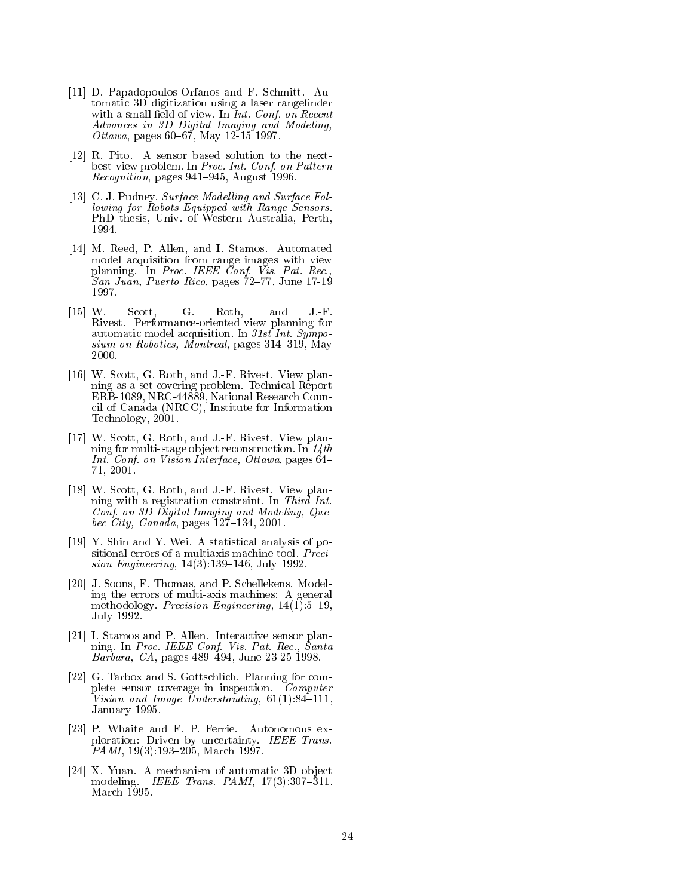- [11] D. Papadopoulos-Orfanos and F. Schmitt. Au- $\mathbf{S}$  digitization using a laser range range range range range range range range range range range range range range range range range range range range range range range range range range range range range range range with a small model of view. In Int. Conf. with recent Advances in 3D Digital Imaging and Modeling, *Ottawa*, pages  $60-67$ , May  $12-15$  1997.
- [12] R. Pito. A sensor based solution to the nextbest-view problem. In Proc. Int. Conf. on Pattern  $Reognition$ , pages 941-945, August 1996.
- [13] C. J. Pudney. Surface Modelling and Surface Following for Robots Equipped with Range Sensors. PhD thesis, Univ. of Western Australia, Perth, 1994.
- [14] M. Reed, P. Allen, and I. Stamos. Automated model acquisition from range images with view planning. In Proc. IEEE Conf. Vis. Pat. Rec., San Juan, Puerto Rico, pages  $72-77$ , June 17-19 1997.
- [15] W. Scott, G. Roth, and J.-F. Rivest. Performance-oriented view planning for automatic model acquisition. In 31st Int. Sympo $sium$  on Robotics, Montreal, pages 314-319, May 2000.
- [16] W. Scott, G. Roth, and J.-F. Rivest. View planning as a set covering problem. Technical Report ERB-1089, NRC-44889, National Research Council of Canada (NRCC), Institute for Information Technology, 2001.
- [17] W. Scott, G. Roth, and J.-F. Rivest. View planning for multi-stage ob ject reconstruction. In 14th Int. Conf. on Vision Interface, Ottawa, pages  $64-$ 71, 2001.
- [18] W. Scott, G. Roth, and J.-F. Rivest. View planning with a registration constraint. In Third Int. Conf. on 3D Digital Imaging and Modeling, Quebec City, Canada, pages 127{134, 2001.
- [19] Y. Shin and Y. Wei. A statistical analysis of positional errors of a multiaxis machine tool. Precision Engineering,  $14(3)$ :139-146, July 1992.
- [20] J. Soons, F. Thomas, and P. Schellekens. Modeling the errors of multi-axis machines: A general methodology. *Precision Engineering*,  $14(1):5{-}19$ , July 1992.
- [21] I. Stamos and P. Allen. Interactive sensor planning. In Proc. IEEE Conf. Vis. Pat. Rec., Santa  $Barbara, CA, pages 489–494, June 23-25 1998.$
- [22] G. Tarbox and S. Gottschlich. Planning for complete sensor coverage in inspection. Computer Vision and Image Understanding,  $61(1):84-111$ , January 1995.
- [23] P. Whaite and F. P. Ferrie. Autonomous exploration: Driven by uncertainty. IEEE Trans. PAMI, 19(3):193{205, March 1997.
- [24] X. Yuan. A mechanism of automatic 3D ob ject modeling. IEEE Trans. PAMI,  $17(3):307-311$ , March 1995.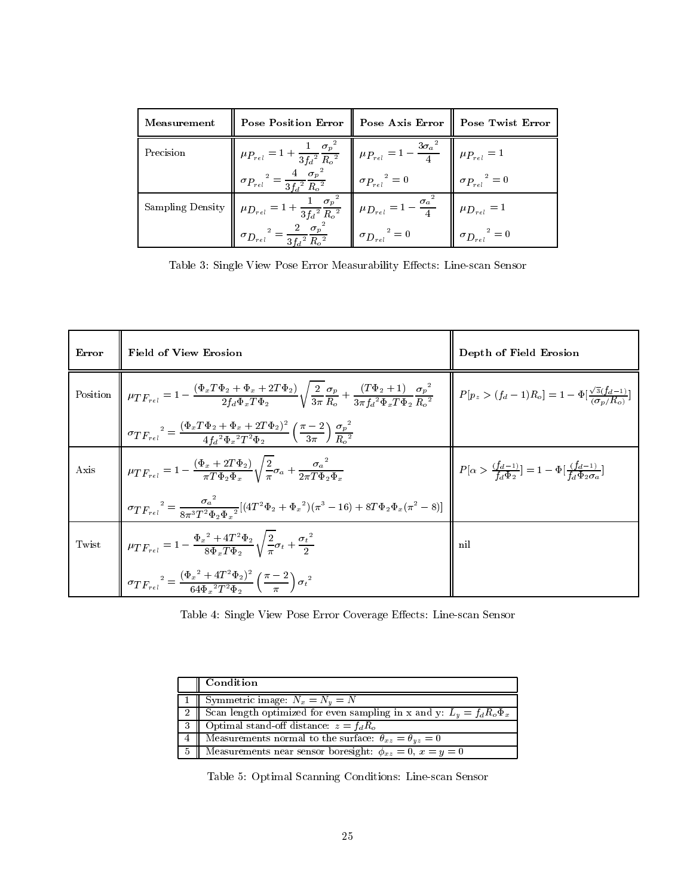| Measurement | <b>Pose Position Error</b>                                                                                                                                                     | Pose Axis Error                              | Pose Twist Error                    |
|-------------|--------------------------------------------------------------------------------------------------------------------------------------------------------------------------------|----------------------------------------------|-------------------------------------|
| Precision   | $\mu_{P_{rel}} = 1 + \frac{1}{3{f_d}^2} \frac{{\sigma_p}^2}{{R_o}^2} \quad \bigg\  \ \mu_{P_{rel}} = 1 - \frac{3{\sigma_a}^2}{4} \quad \overline{\bigg\  \ \mu_{P_{rel}} = 1}$ |                                              |                                     |
|             | $\sigma_{\!_{rel}}^{\quad \, 2} = \frac{4}{3{f_d}^2} \frac{{\sigma_p}^2}{{R_o}^2}$                                                                                             | $\sigma_{\textit{P}_{rel}}{}^2 = 0$          | $\sigma_{\textit{P}_{rel}}{}^2 = 0$ |
|             | Sampling Density $\left\  \ \mu_{D_{rel}} = 1 + \frac{1}{3f_d^2} \frac{\sigma_p^2}{R_o^2} \ \right\ $                                                                          | $\mu_{D_{rel}} = 1 - \frac{{\sigma_a}^2}{4}$ | $\mu_{D_{rel}}=1$                   |
|             | $= \frac{2}{3{f_d}^2} \frac{{\sigma_p}^2}{{R_o}^2}$<br>$\sigma_{D_{rel}}$                                                                                                      | $\sigma_{{\cal D}_{rel}}^{\quad \  \  2}=0$  | $\sigma_{D_{rel}}^2 = 0$            |

Table 3: Single View Pose Error Measurability Eects: Line-scan Sensor

| Error    | <b>Field of View Erosion</b>                                                                                                                                                                                                                                                                                                                                          | Depth of Field Erosion                                                                   |
|----------|-----------------------------------------------------------------------------------------------------------------------------------------------------------------------------------------------------------------------------------------------------------------------------------------------------------------------------------------------------------------------|------------------------------------------------------------------------------------------|
| Position | $\left\ \begin{array}{cc} \mu_{T\,F_{rel}}=1-\frac{(\Phi_{x}T\Phi_{2}+\Phi_{x}+2T\Phi_{2})}{2f_{d}\Phi_{x}T\Phi_{2}}\sqrt{\frac{2}{3\pi}\frac{\sigma_{p}}{R_{\circ}}}+\frac{(T\Phi_{2}+1)}{3\pi f_{\circ}^{2}\Phi_{x}T\Phi_{2}} & \end{array}\right\  \begin{array}{cc} P[p_{z}>(f_{d}-1)R_{o}]=1-\Phi[\frac{\sqrt{3}(f_{d}-1)}{(\sigma_{x}/R_{\circ})}] \end{array}$ |                                                                                          |
|          | $\sigma T F_{rel}^{2} = \frac{(\Phi_x T \Phi_2 + \Phi_x + 2T \Phi_2)^2}{4 f_x^2 \Phi_x^2 T^2 \Phi_2} \left(\frac{\pi - 2}{3\pi}\right) \frac{\sigma_p^2}{R_s^2}$                                                                                                                                                                                                      |                                                                                          |
| Axis     | $\left\  \mu_{TF_{rel}}=1-\frac{(\Phi_x+2T\Phi_2)}{\pi T\Phi_2\Phi_x}\sqrt{\frac{2}{\pi}}\sigma_a+\frac{{\sigma_a}^2}{2\pi T\Phi_2\Phi_1}$                                                                                                                                                                                                                            | $P[\alpha > \frac{(f_d-1)}{f_d \Phi_2}] = 1 - \Phi[\frac{(f_d-1)}{f_d \Phi_2 \sigma_2}]$ |
|          | $\sigma_{T F_{rel}}^{2} = \frac{\sigma_a^{2}}{8\pi^{3}T^{2}\Phi_{c}\Phi_{c}^{2}}[(4T^{2}\Phi_{2} + \Phi_{x}^{2})(\pi^{3} - 16) + 8T\Phi_{2}\Phi_{x}(\pi^{2} - 8)]$                                                                                                                                                                                                    |                                                                                          |
| Twist    | $\mu_{TF_{rel}} = 1 - \frac{\Phi_x^2 + 4T^2\Phi_2}{8\Phi_T\Phi_1} \sqrt{\frac{2}{\pi}} \sigma_t + \frac{{\sigma_t}^2}{2}$                                                                                                                                                                                                                                             | nil                                                                                      |
|          | $\sigma_{T F_{rel}}{}^{2} = \frac{(\Phi_{x}{}^{2} + 4T^{2} \Phi_{2})^{2}}{64 \Phi_{x}{}^{2} T^{2} \Phi_{2}} \left(\frac{\pi - 2}{\pi}\right) {\sigma_{t}}^{2}$                                                                                                                                                                                                        |                                                                                          |

Table 4: Single View Pose Error Coverage Eects: Line-scan Sensor

| Condition                                                                  |
|----------------------------------------------------------------------------|
| 1   Symmetric image: $N_x = N_y = N$                                       |
| Scan length optimized for even sampling in x and y: $L_y = f_d R_o \Phi_x$ |
| Optimal stand-off distance: $z = f_d R_o$                                  |
| Measurements normal to the surface: $\theta_{xz} = \theta_{yz} = 0$        |
| Measurements near sensor boresight: $\phi_{xz} = 0, x = y = 0$             |

Table 5: Optimal Scanning Conditions: Line-scan Sensor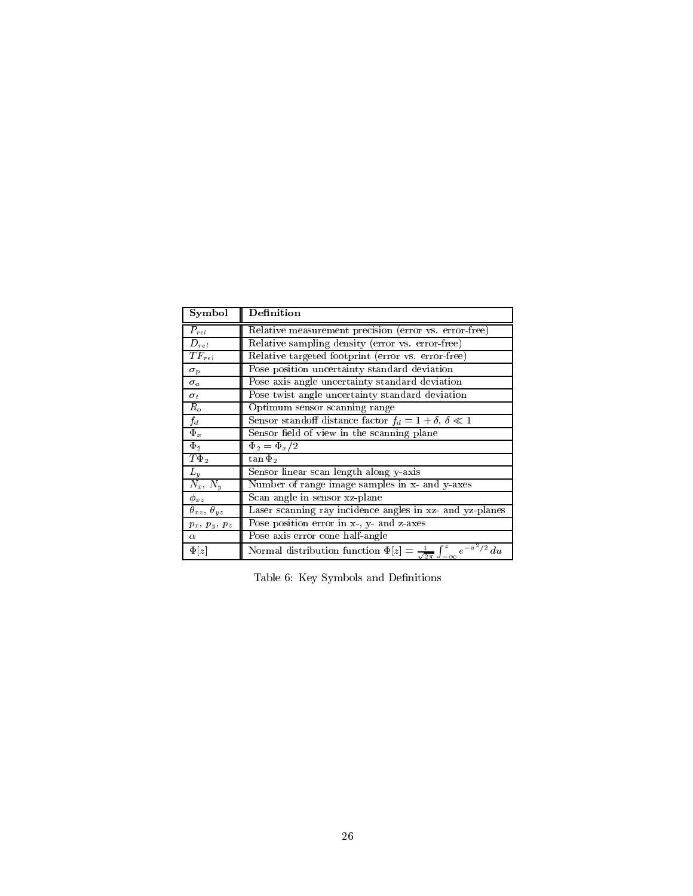| Symbol                     | <b>Definition</b>                                                                                          |
|----------------------------|------------------------------------------------------------------------------------------------------------|
| $P_{rel}$                  | Relative measurement precision (error vs. error-free)                                                      |
| $D_{rel}$                  | Relative sampling density (error vs. error-free)                                                           |
| $TF_{rel}$                 | Relative targeted footprint (error vs. error-free)                                                         |
| $\sigma_p$                 | Pose position uncertainty standard deviation                                                               |
| $\sigma_a$                 | Pose axis angle uncertainty standard deviation                                                             |
| $\sigma_t$                 | Pose twist angle uncertainty standard deviation                                                            |
| $R_o$                      | Optimum sensor scanning range                                                                              |
| $f_d$                      | Sensor standoff distance factor $f_d = 1 + \delta$ , $\delta \ll 1$                                        |
| $\Phi_x$                   | Sensor field of view in the scanning plane                                                                 |
| $\Phi_2$                   | $\Phi_2 = \Phi_x/2$                                                                                        |
| $T\Phi_2$                  | $\tan \Phi_2$                                                                                              |
| $L_y$                      | Sensor linear scan length along y-axis                                                                     |
| $N_x, N_y$                 | Number of range image samples in x- and y-axes                                                             |
| $\phi_{xz}$                | Scan angle in sensor xz-plane                                                                              |
| $\theta_{xz}, \theta_{yz}$ | Laser scanning ray incidence angles in xz- and yz-planes                                                   |
| $p_x, p_y, p_z$            | Pose position error in x-, y- and z-axes                                                                   |
| $\alpha$                   | Pose axis error cone half-angle                                                                            |
| $\Phi[z]$                  | Normal distribution function $\Phi[z] = \frac{1}{\sqrt{2\pi}} \int_{-\infty}^{z} e^{-u^2/\overline{2}} du$ |

Table 6: Key Symbols and Definitions